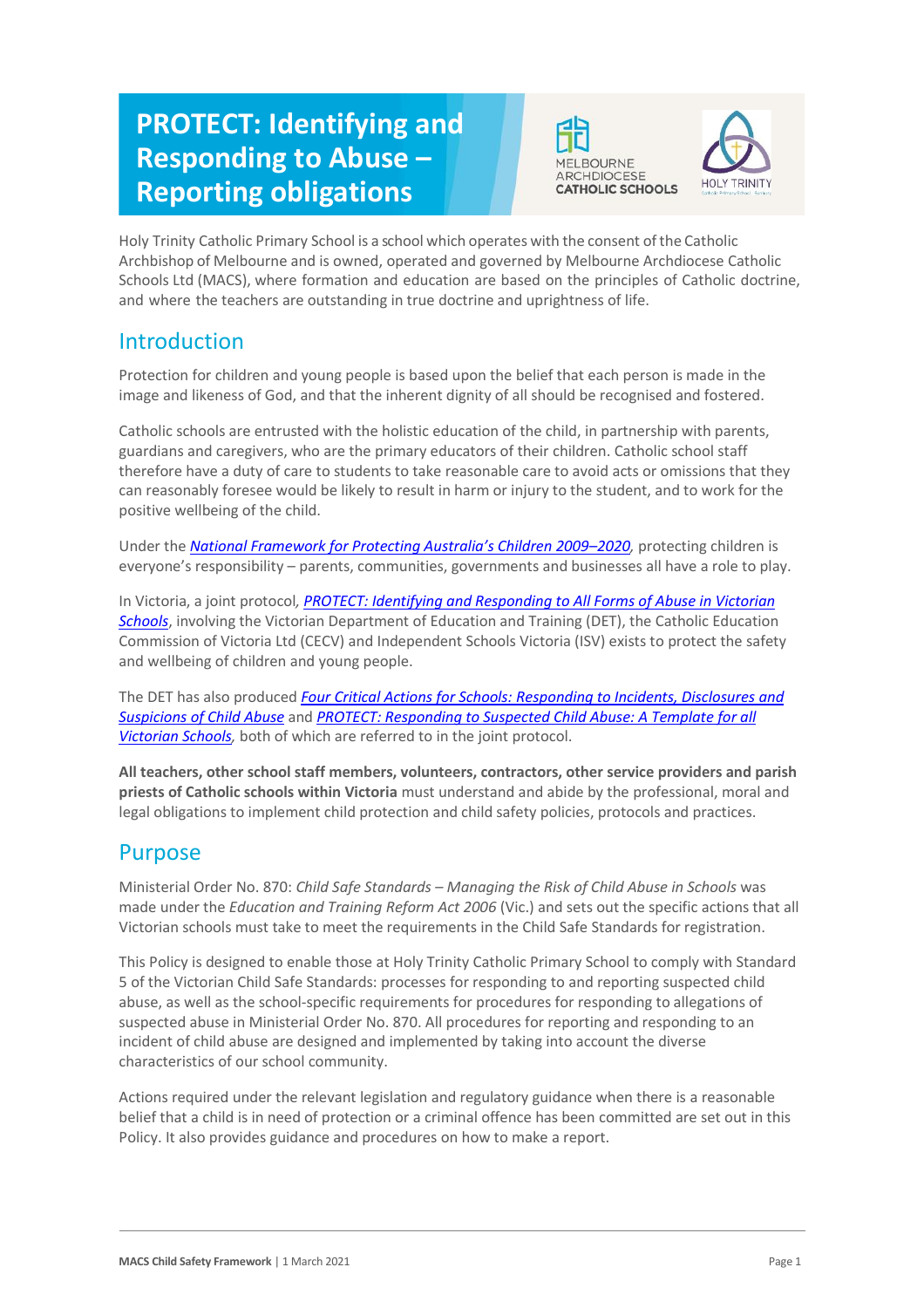# **PROTECT: Identifying and Responding to Abuse – Reporting obligations**





Holy Trinity Catholic Primary School is a school which operates with the consent of the Catholic Archbishop of Melbourne and is owned, operated and governed by Melbourne Archdiocese Catholic Schools Ltd (MACS), where formation and education are based on the principles of Catholic doctrine, and where the teachers are outstanding in true doctrine and uprightness of life.

# Introduction

Protection for children and young people is based upon the belief that each person is made in the image and likeness of God, and that the inherent dignity of all should be recognised and fostered.

Catholic schools are entrusted with the holistic education of the child, in partnership with parents, guardians and caregivers, who are the primary educators of their children. Catholic school staff therefore have a duty of care to students to take reasonable care to avoid acts or omissions that they can reasonably foresee would be likely to result in harm or injury to the student, and to work for the positive wellbeing of the child.

Under the *[National Framework for Protecting Australia's Children 2009–](https://www.dss.gov.au/our-responsibilities/families-and-children/publications-articles/protecting-children-is-everyones-business)202[0,](https://www.dss.gov.au/our-responsibilities/families-and-children/publications-articles/protecting-children-is-everyones-business)* protecting children is everyone's responsibility – parents, communities, governments and businesses all have a role to play.

In Victoria, a joint protocol*[, PROTECT: Identifying and Responding to All Forms of Abuse in Victorian](http://www.education.vic.gov.au/Documents/about/programs/health/protect/ChildSafeStandard5_SchoolsGuide.pdf)  [Schools](http://www.education.vic.gov.au/Documents/about/programs/health/protect/ChildSafeStandard5_SchoolsGuide.pdf)*[, in](http://www.education.vic.gov.au/Documents/about/programs/health/protect/ChildSafeStandard5_SchoolsGuide.pdf)volving the Victorian Department of Education and Training (DET), the Catholic Education Commission of Victoria Ltd (CECV) and Independent Schools Victoria (ISV) exists to protect the safety and wellbeing of children and young people.

The DET has also produced *[Four Critical Actions for Schools: Responding to Incidents, Disclosures and](http://www.education.vic.gov.au/Documents/about/programs/health/protect/FourCriticalActions_ChildAbuse.pdf)  [Suspicions of Child Abuse](http://www.education.vic.gov.au/Documents/about/programs/health/protect/FourCriticalActions_ChildAbuse.pdf)* and *[PROTECT: Responding to Suspected Child Abuse: A Template for all](http://www.education.vic.gov.au/Documents/about/programs/health/protect/PROTECT_Responding_TemplateSchools.pdf)  [Victorian Schools,](http://www.education.vic.gov.au/Documents/about/programs/health/protect/PROTECT_Responding_TemplateSchools.pdf)* both of which are referred to in the joint protocol.

**All teachers, other school staff members, volunteers, contractors, other service providers and parish priests of Catholic schools within Victoria** must understand and abide by the professional, moral and legal obligations to implement child protection and child safety policies, protocols and practices.

# Purpose

Ministerial Order No. 870: *Child Safe Standards – Managing the Risk of Child Abuse in Schools* was made under the *Education and Training Reform Act 2006* (Vic.) and sets out the specific actions that all Victorian schools must take to meet the requirements in the Child Safe Standards for registration.

This Policy is designed to enable those at Holy Trinity Catholic Primary School to comply with Standard 5 of the Victorian Child Safe Standards: processes for responding to and reporting suspected child abuse, as well as the school-specific requirements for procedures for responding to allegations of suspected abuse in Ministerial Order No. 870. All procedures for reporting and responding to an incident of child abuse are designed and implemented by taking into account the diverse characteristics of our school community.

Actions required under the relevant legislation and regulatory guidance when there is a reasonable belief that a child is in need of protection or a criminal offence has been committed are set out in this Policy. It also provides guidance and procedures on how to make a report.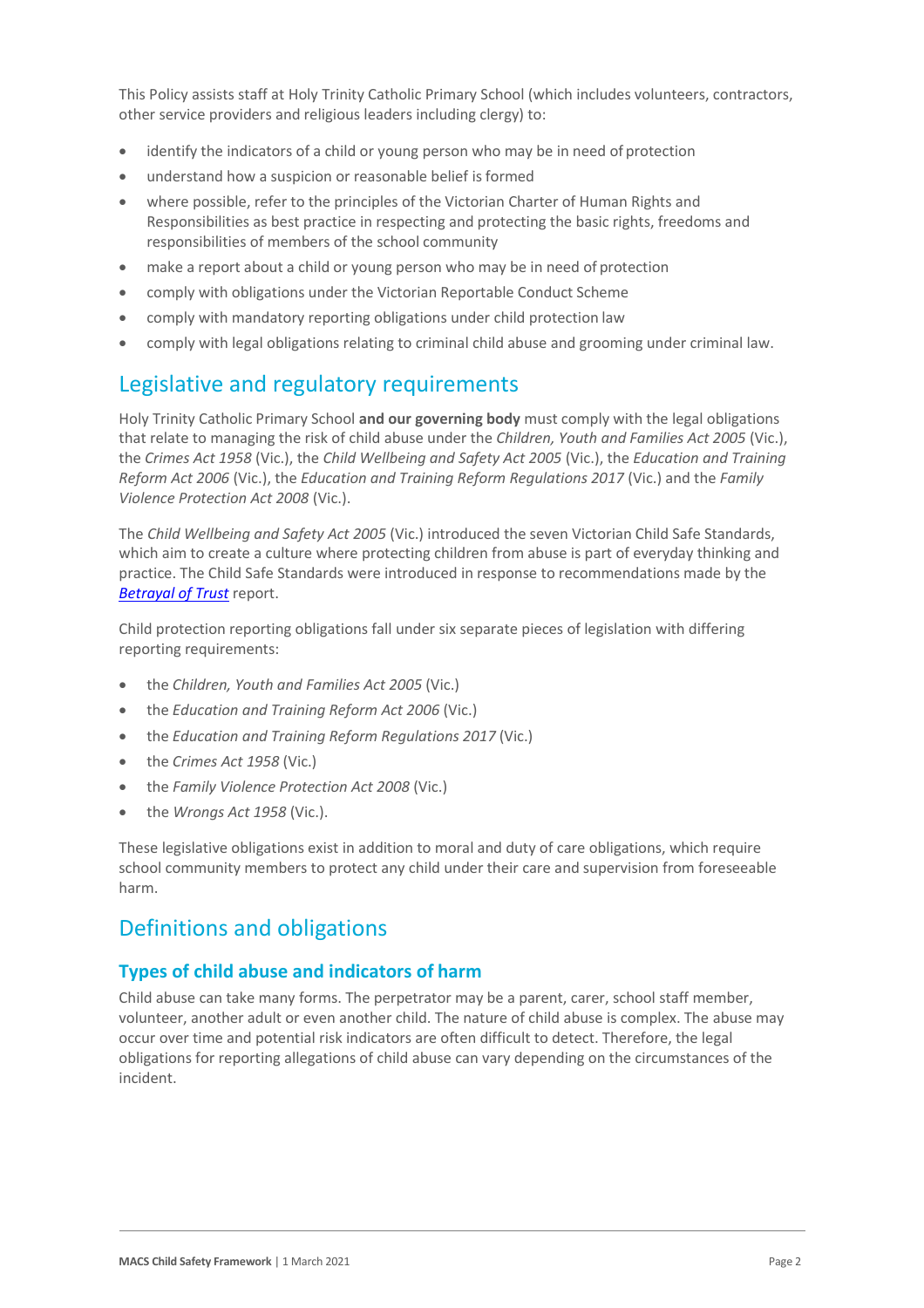This Policy assists staff at Holy Trinity Catholic Primary School (which includes volunteers, contractors, other service providers and religious leaders including clergy) to:

- identify the indicators of a child or young person who may be in need of protection
- understand how a suspicion or reasonable belief is formed
- where possible, refer to the principles of the Victorian Charter of Human Rights and Responsibilities as best practice in respecting and protecting the basic rights, freedoms and responsibilities of members of the school community
- make a report about a child or young person who may be in need of protection
- comply with obligations under the Victorian Reportable Conduct Scheme
- comply with mandatory reporting obligations under child protection law
- comply with legal obligations relating to criminal child abuse and grooming under criminal law.

# Legislative and regulatory requirements

Holy Trinity Catholic Primary School **and our governing body** must comply with the legal obligations that relate to managing the risk of child abuse under the *Children, Youth and Families Act 2005* (Vic.), the *Crimes Act 1958* (Vic.), the *Child Wellbeing and Safety Act 2005* (Vic.), the *Education and Training Reform Act 2006* (Vic.), the *Education and Training Reform Regulations 2017* (Vic.) and the *Family Violence Protection Act 2008* (Vic.).

The *Child Wellbeing and Safety Act 2005* (Vic.) introduced the seven Victorian Child Safe Standards, which aim to create a culture where protecting children from abuse is part of everyday thinking and practice. The Child Safe Standards were introduced in response to recommendations made by the *[Betrayal of Trust](http://www.parliament.vic.gov.au/file_uploads/Inquiry_into_Handling_of_Abuse_Volume_2_FINAL_web_y78t3Wpb.pdf)* report.

Child protection reporting obligations fall under six separate pieces of legislation with differing reporting requirements:

- the *Children, Youth and Families Act 2005* (Vic.)
- the *Education and Training Reform Act 2006* (Vic.)
- the *Education and Training Reform Regulations 2017* (Vic.)
- the *Crimes Act 1958* (Vic.)
- the *Family Violence Protection Act 2008* (Vic.)
- the *Wrongs Act 1958* (Vic.).

These legislative obligations exist in addition to moral and duty of care obligations, which require school community members to protect any child under their care and supervision from foreseeable harm.

# Definitions and obligations

# **Types of child abuse and indicators of harm**

Child abuse can take many forms. The perpetrator may be a parent, carer, school staff member, volunteer, another adult or even another child. The nature of child abuse is complex. The abuse may occur over time and potential risk indicators are often difficult to detect. Therefore, the legal obligations for reporting allegations of child abuse can vary depending on the circumstances of the incident.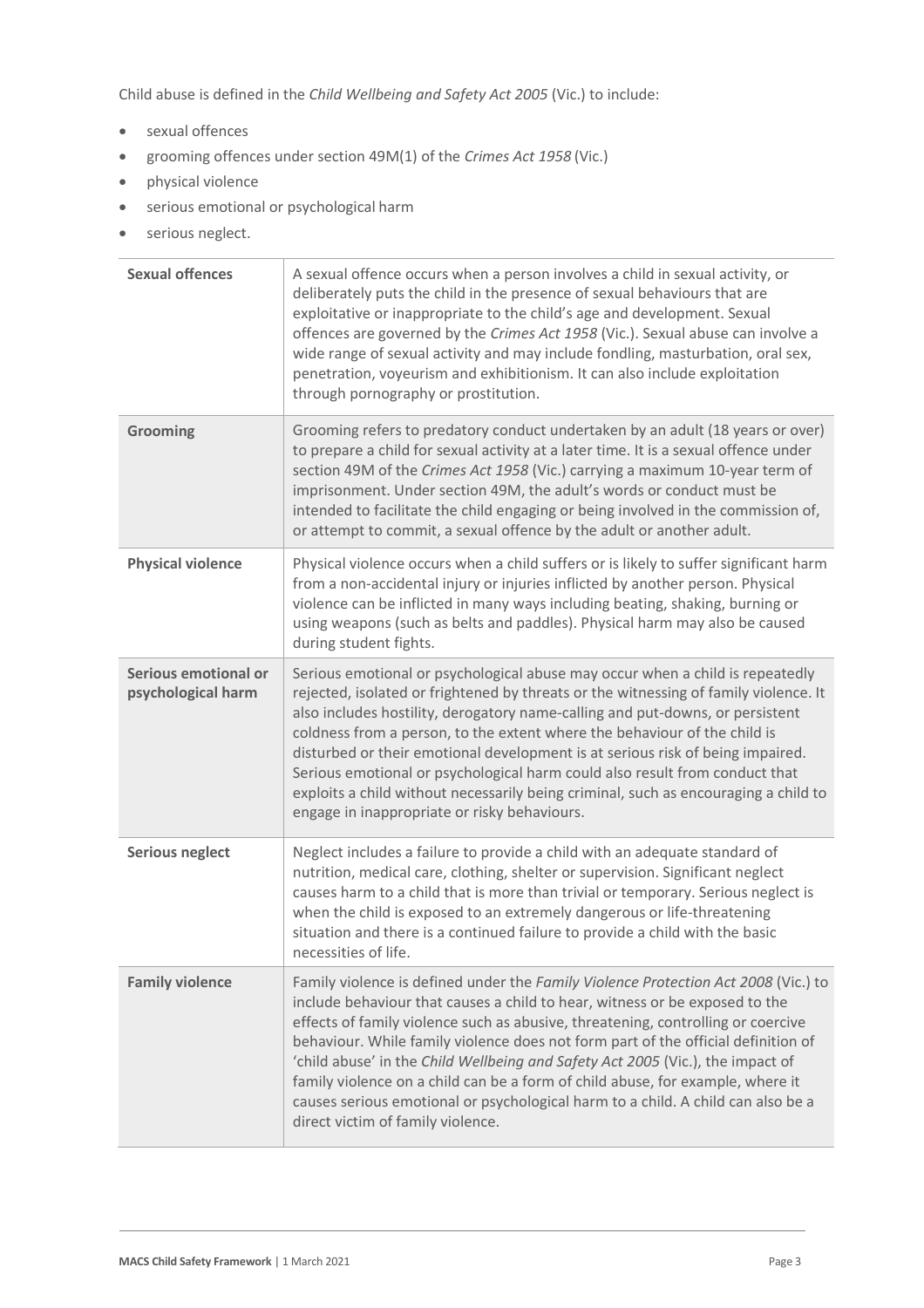Child abuse is defined in the *Child Wellbeing and Safety Act 2005* (Vic.) to include:

- sexual offences
- grooming offences under section 49M(1) of the *Crimes Act 1958* (Vic.)
- physical violence
- serious emotional or psychological harm
- serious neglect.

| <b>Sexual offences</b>                     | A sexual offence occurs when a person involves a child in sexual activity, or<br>deliberately puts the child in the presence of sexual behaviours that are<br>exploitative or inappropriate to the child's age and development. Sexual<br>offences are governed by the Crimes Act 1958 (Vic.). Sexual abuse can involve a<br>wide range of sexual activity and may include fondling, masturbation, oral sex,<br>penetration, voyeurism and exhibitionism. It can also include exploitation<br>through pornography or prostitution.                                                                                                          |
|--------------------------------------------|---------------------------------------------------------------------------------------------------------------------------------------------------------------------------------------------------------------------------------------------------------------------------------------------------------------------------------------------------------------------------------------------------------------------------------------------------------------------------------------------------------------------------------------------------------------------------------------------------------------------------------------------|
| Grooming                                   | Grooming refers to predatory conduct undertaken by an adult (18 years or over)<br>to prepare a child for sexual activity at a later time. It is a sexual offence under<br>section 49M of the Crimes Act 1958 (Vic.) carrying a maximum 10-year term of<br>imprisonment. Under section 49M, the adult's words or conduct must be<br>intended to facilitate the child engaging or being involved in the commission of,<br>or attempt to commit, a sexual offence by the adult or another adult.                                                                                                                                               |
| <b>Physical violence</b>                   | Physical violence occurs when a child suffers or is likely to suffer significant harm<br>from a non-accidental injury or injuries inflicted by another person. Physical<br>violence can be inflicted in many ways including beating, shaking, burning or<br>using weapons (such as belts and paddles). Physical harm may also be caused<br>during student fights.                                                                                                                                                                                                                                                                           |
| Serious emotional or<br>psychological harm | Serious emotional or psychological abuse may occur when a child is repeatedly<br>rejected, isolated or frightened by threats or the witnessing of family violence. It<br>also includes hostility, derogatory name-calling and put-downs, or persistent<br>coldness from a person, to the extent where the behaviour of the child is<br>disturbed or their emotional development is at serious risk of being impaired.<br>Serious emotional or psychological harm could also result from conduct that<br>exploits a child without necessarily being criminal, such as encouraging a child to<br>engage in inappropriate or risky behaviours. |
| <b>Serious neglect</b>                     | Neglect includes a failure to provide a child with an adequate standard of<br>nutrition, medical care, clothing, shelter or supervision. Significant neglect<br>causes harm to a child that is more than trivial or temporary. Serious neglect is<br>when the child is exposed to an extremely dangerous or life-threatening<br>situation and there is a continued failure to provide a child with the basic<br>necessities of life.                                                                                                                                                                                                        |
| <b>Family violence</b>                     | Family violence is defined under the Family Violence Protection Act 2008 (Vic.) to<br>include behaviour that causes a child to hear, witness or be exposed to the<br>effects of family violence such as abusive, threatening, controlling or coercive<br>behaviour. While family violence does not form part of the official definition of<br>'child abuse' in the Child Wellbeing and Safety Act 2005 (Vic.), the impact of<br>family violence on a child can be a form of child abuse, for example, where it<br>causes serious emotional or psychological harm to a child. A child can also be a<br>direct victim of family violence.     |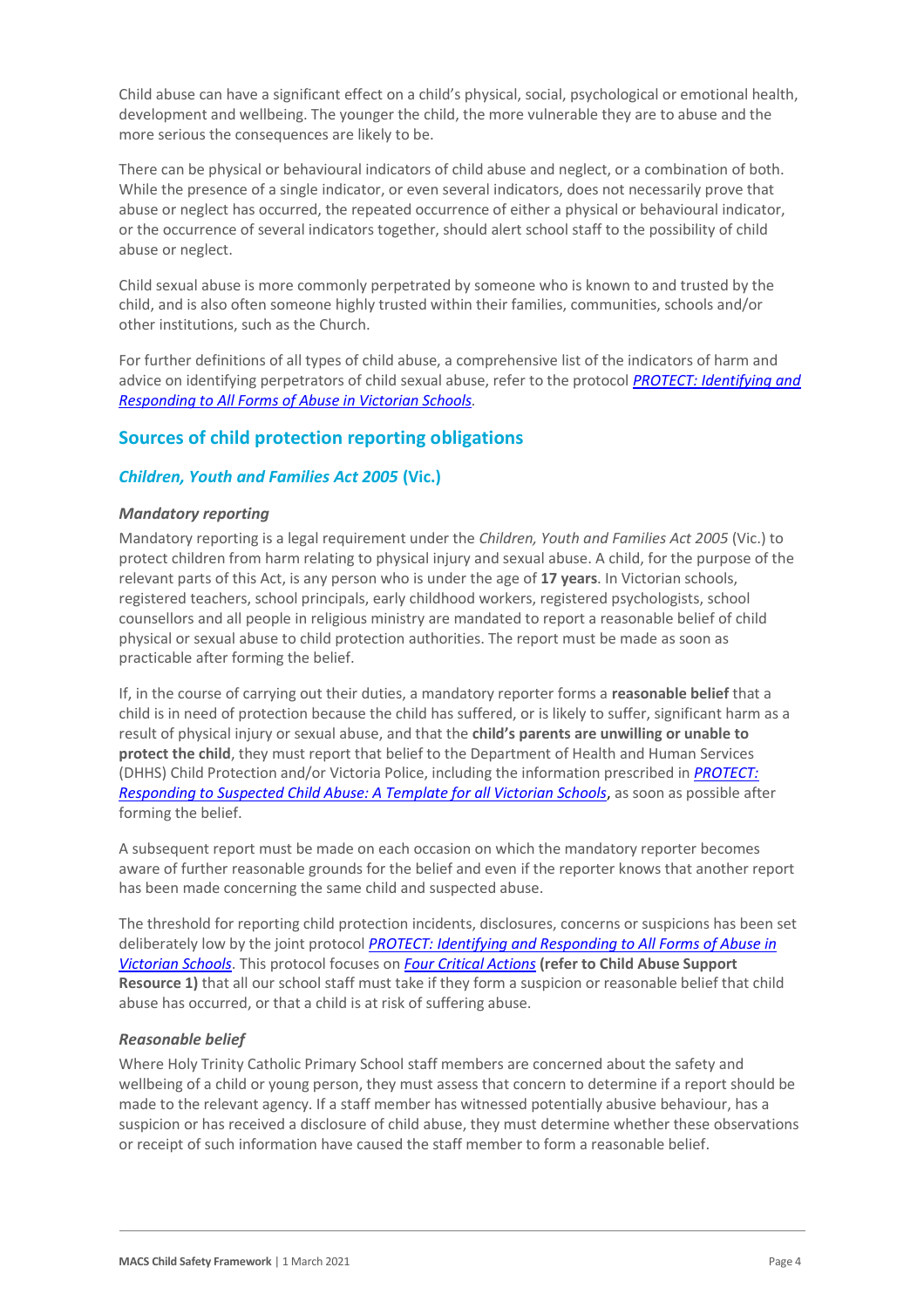Child abuse can have a significant effect on a child's physical, social, psychological or emotional health, development and wellbeing. The younger the child, the more vulnerable they are to abuse and the more serious the consequences are likely to be.

There can be physical or behavioural indicators of child abuse and neglect, or a combination of both. While the presence of a single indicator, or even several indicators, does not necessarily prove that abuse or neglect has occurred, the repeated occurrence of either a physical or behavioural indicator, or the occurrence of several indicators together, should alert school staff to the possibility of child abuse or neglect.

Child sexual abuse is more commonly perpetrated by someone who is known to and trusted by the child, and is also often someone highly trusted within their families, communities, schools and/or other institutions, such as the Church.

For further definitions of all types of child abuse, a comprehensive list of the indicators of harm and advice on identifying perpetrators of child sexual abuse, refer to the protocol *[PROTECT: Identifying and](https://www.education.vic.gov.au/Documents/about/programs/health/protect/ChildSafeStandard5_SchoolsGuide.pdf)  [Responding to All Forms of Abuse in Victorian Schools](https://www.education.vic.gov.au/Documents/about/programs/health/protect/ChildSafeStandard5_SchoolsGuide.pdf)[.](http://www.education.vic.gov.au/Documents/about/programs/health/protect/ChildSafeStandard5_SchoolsGuide.pdf)*

# **Sources of child protection reporting obligations**

#### *Children, Youth and Families Act 2005* **(Vic.)**

#### *Mandatory reporting*

Mandatory reporting is a legal requirement under the *Children, Youth and Families Act 2005* (Vic.) to protect children from harm relating to physical injury and sexual abuse. A child, for the purpose of the relevant parts of this Act, is any person who is under the age of **17 years**. In Victorian schools, registered teachers, school principals, early childhood workers, registered psychologists, school counsellors and all people in religious ministry are mandated to report a reasonable belief of child physical or sexual abuse to child protection authorities. The report must be made as soon as practicable after forming the belief.

If, in the course of carrying out their duties, a mandatory reporter forms a **reasonable belief** that a child is in need of protection because the child has suffered, or is likely to suffer, significant harm as a result of physical injury or sexual abuse, and that the **child's parents are unwilling or unable to protect the child**, they must report that belief to the Department of Health and Human Services (DHHS) Child Protection and/or Victoria Police, including the information prescribed in *[PROTECT:](http://www.education.vic.gov.au/Documents/about/programs/health/protect/PROTECT_Responding_TemplateSchools.pdf)  [Responding to Suspected Child Abuse: A Template for all Victorian Schools](http://www.education.vic.gov.au/Documents/about/programs/health/protect/PROTECT_Responding_TemplateSchools.pdf)*, as soon as possible after forming the belief.

A subsequent report must be made on each occasion on which the mandatory reporter becomes aware of further reasonable grounds for the belief and even if the reporter knows that another report has been made concerning the same child and suspected abuse.

The threshold for reporting child protection incidents, disclosures, concerns or suspicions has been set deliberately low by the joint protocol *[PROTECT: Identifying and Responding to All Forms of Abuse in](http://www.education.vic.gov.au/Documents/about/programs/health/protect/ChildSafeStandard5_SchoolsGuide.pdf)  [Victorian Schools](http://www.education.vic.gov.au/Documents/about/programs/health/protect/ChildSafeStandard5_SchoolsGuide.pdf)*[. T](http://www.education.vic.gov.au/Documents/about/programs/health/protect/ChildSafeStandard5_SchoolsGuide.pdf)his protocol focuses on *[Four Critical Actions](http://www.education.vic.gov.au/Documents/about/programs/health/protect/FourCriticalActions_ChildAbuse.pdf)* **(refer to Child Abuse Support Resource 1)** that all our school staff must take if they form a suspicion or reasonable belief that child abuse has occurred, or that a child is at risk of suffering abuse.

#### <span id="page-3-0"></span>*Reasonable belief*

Where Holy Trinity Catholic Primary School staff members are concerned about the safety and wellbeing of a child or young person, they must assess that concern to determine if a report should be made to the relevant agency. If a staff member has witnessed potentially abusive behaviour, has a suspicion or has received a disclosure of child abuse, they must determine whether these observations or receipt of such information have caused the staff member to form a reasonable belief.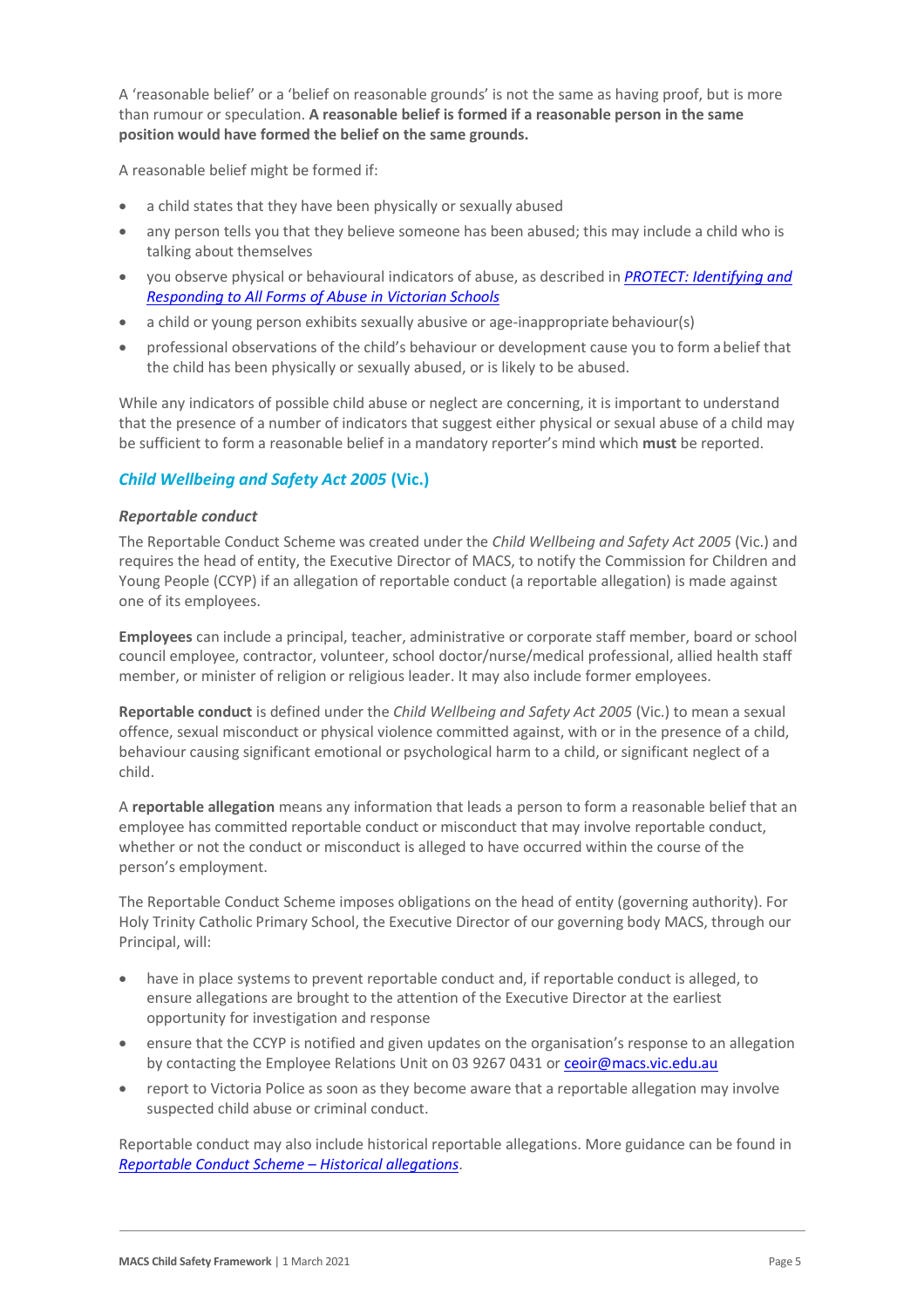A 'reasonable belief' or a 'belief on reasonable grounds' is not the same as having proof, but is more than rumour or speculation. **A reasonable belief is formed if a reasonable person in the same position would have formed the belief on the same grounds.**

A reasonable belief might be formed if:

- a child states that they have been physically or sexually abused
- any person tells you that they believe someone has been abused; this may include a child who is talking about themselves
- you observe physical or behavioural indicators of abuse, as described in *[PROTECT: Identifying and](http://www.education.vic.gov.au/Documents/about/programs/health/protect/ChildSafeStandard5_SchoolsGuide.pdf)  [Responding to All Forms of Abuse in Victorian Schools](http://www.education.vic.gov.au/Documents/about/programs/health/protect/ChildSafeStandard5_SchoolsGuide.pdf)*
- a child or young person exhibits sexually abusive or age-inappropriate behaviour(s)
- professional observations of the child's behaviour or development cause you to form abelief that the child has been physically or sexually abused, or is likely to be abused.

While any indicators of possible child abuse or neglect are concerning, it is important to understand that the presence of a number of indicators that suggest either physical or sexual abuse of a child may be sufficient to form a reasonable belief in a mandatory reporter's mind which **must** be reported.

# *Child Wellbeing and Safety Act 2005* **(Vic.)**

#### *Reportable conduct*

The Reportable Conduct Scheme was created under the *Child Wellbeing and Safety Act 2005* (Vic.) and requires the head of entity, the Executive Director of MACS, to notify the Commission for Children and Young People (CCYP) if an allegation of reportable conduct (a reportable allegation) is made against one of its employees.

**Employees** can include a principal, teacher, administrative or corporate staff member, board or school council employee, contractor, volunteer, school doctor/nurse/medical professional, allied health staff member, or minister of religion or religious leader. It may also include former employees.

**Reportable conduct** is defined under the *Child Wellbeing and Safety Act 2005* (Vic.) to mean a sexual offence, sexual misconduct or physical violence committed against, with or in the presence of a child, behaviour causing significant emotional or psychological harm to a child, or significant neglect of a child.

A **reportable allegation** means any information that leads a person to form a reasonable belief that an employee has committed reportable conduct or misconduct that may involve reportable conduct, whether or not the conduct or misconduct is alleged to have occurred within the course of the person's employment.

The Reportable Conduct Scheme imposes obligations on the head of entity (governing authority). For Holy Trinity Catholic Primary School, the Executive Director of our governing body MACS, through our Principal, will:

- have in place systems to prevent reportable conduct and, if reportable conduct is alleged, to ensure allegations are brought to the attention of the Executive Director at the earliest opportunity for investigation and response
- ensure that the CCYP is notified and given updates on the organisation's response to an allegation by contacting the Employee Relations Unit on 03 9267 0431 or [ceoir@macs.vic.edu.au](mailto:ceoir@macs.vic.edu.au)
- report to Victoria Police as soon as they become aware that a reportable allegation may involve suspected child abuse or criminal conduct.

Reportable conduct may also include historical reportable allegations. More guidance can be found in *[Reportable Conduct Scheme](https://ccyp.vic.gov.au/assets/resources/RCSInfoSheetUpdates/Historical-Allegations-110718.pdf) – Historical allegations*.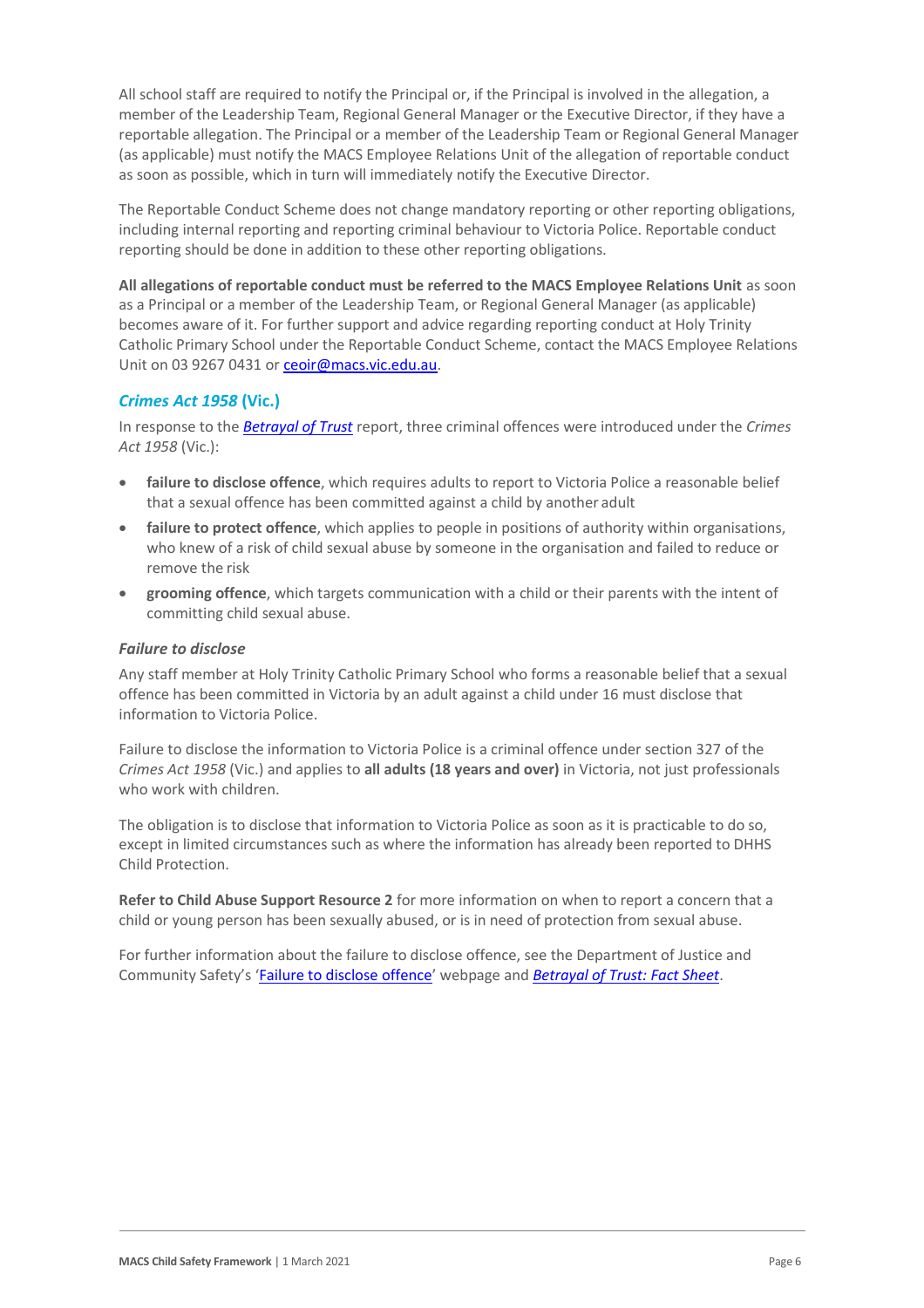All school staff are required to notify the Principal or, if the Principal is involved in the allegation, a member of the Leadership Team, Regional General Manager or the Executive Director, if they have a reportable allegation. The Principal or a member of the Leadership Team or Regional General Manager (as applicable) must notify the MACS Employee Relations Unit of the allegation of reportable conduct as soon as possible, which in turn will immediately notify the Executive Director.

The Reportable Conduct Scheme does not change mandatory reporting or other reporting obligations, including internal reporting and reporting criminal behaviour to Victoria Police. Reportable conduct reporting should be done in addition to these other reporting obligations.

**All allegations of reportable conduct must be referred to the MACS Employee Relations Unit** as soon as a Principal or a member of the Leadership Team, or Regional General Manager (as applicable) becomes aware of it. For further support and advice regarding reporting conduct at Holy Trinity Catholic Primary School under the Reportable Conduct Scheme, contact the MACS Employee Relations Unit on 03 9267 0431 o[r ceoir@macs.vic.edu.au.](mailto:ceoir@macs.vic.edu.au)

# *Crimes Act 1958* **(Vic.)**

In response to the *[Betrayal of Trust](http://www.parliament.vic.gov.au/file_uploads/Inquiry_into_Handling_of_Abuse_Volume_2_FINAL_web_y78t3Wpb.pdf)* report, three criminal offences were introduced under the *Crimes Act 1958* (Vic.):

- **[failure to disclose offence](http://www.justice.vic.gov.au/home/safer%2Bcommunities/protecting%2Bchildren%2Band%2Bfamilies/failure%2Bto%2Bdisclose%2Boffence)**, which requires adults to report to Victoria Police a reasonable belief that a sexual offence has been committed against a child by another adult
- [failure to protect offence](http://www.justice.vic.gov.au/home/safer%2Bcommunities/protecting%2Bchildren%2Band%2Bfamilies/failure%2Bto%2Bprotect%2Boffence), which applies to people in positions of authority within organisations, who knew of a risk of child sexual abuse by someone in the organisation and failed to reduce or remove the risk
- **[grooming offence](http://www.justice.vic.gov.au/home/safer%2Bcommunities/protecting%2Bchildren%2Band%2Bfamilies/grooming%2Boffence)**, which targets communication with a child or their parents with the intent of committing child sexual abuse.

#### <span id="page-5-0"></span>*Failure to disclose*

Any staff member at Holy Trinity Catholic Primary School who forms a reasonable belief that a sexual offence has been committed in Victoria by an adult against a child under 16 must disclose that information to Victoria Police.

Failure to disclose the information to Victoria Police is a criminal offence under section 327 of the *Crimes Act 1958* (Vic.) and applies to **all adults (18 years and over)** in Victoria, not just professionals who work with children.

The obligation is to disclose that information to Victoria Police as soon as it is practicable to do so, except in limited circumstances such as where the information has already been reported to DHHS Child Protection.

**Refer to Child Abuse Support Resource 2** for more information on when to report a concern that a child or young person has been sexually abused, or is in need of protection from sexual abuse.

For further information about the failure to disclose offence, see the Department of Justice and Community Safety's '[Failure to disclose offence](https://www.justice.vic.gov.au/safer-communities/protecting-children-and-families/failure-to-disclose-offence)' webpage and *[Betrayal of Trust: Fact Sheet](https://www.justice.vic.gov.au/sites/default/files/embridge_cache/emshare/original/public/2020/06/c5/7f42d28f3/betrayal_of_trust-organisational_duty_fact_sheet_2018%20.doc)*.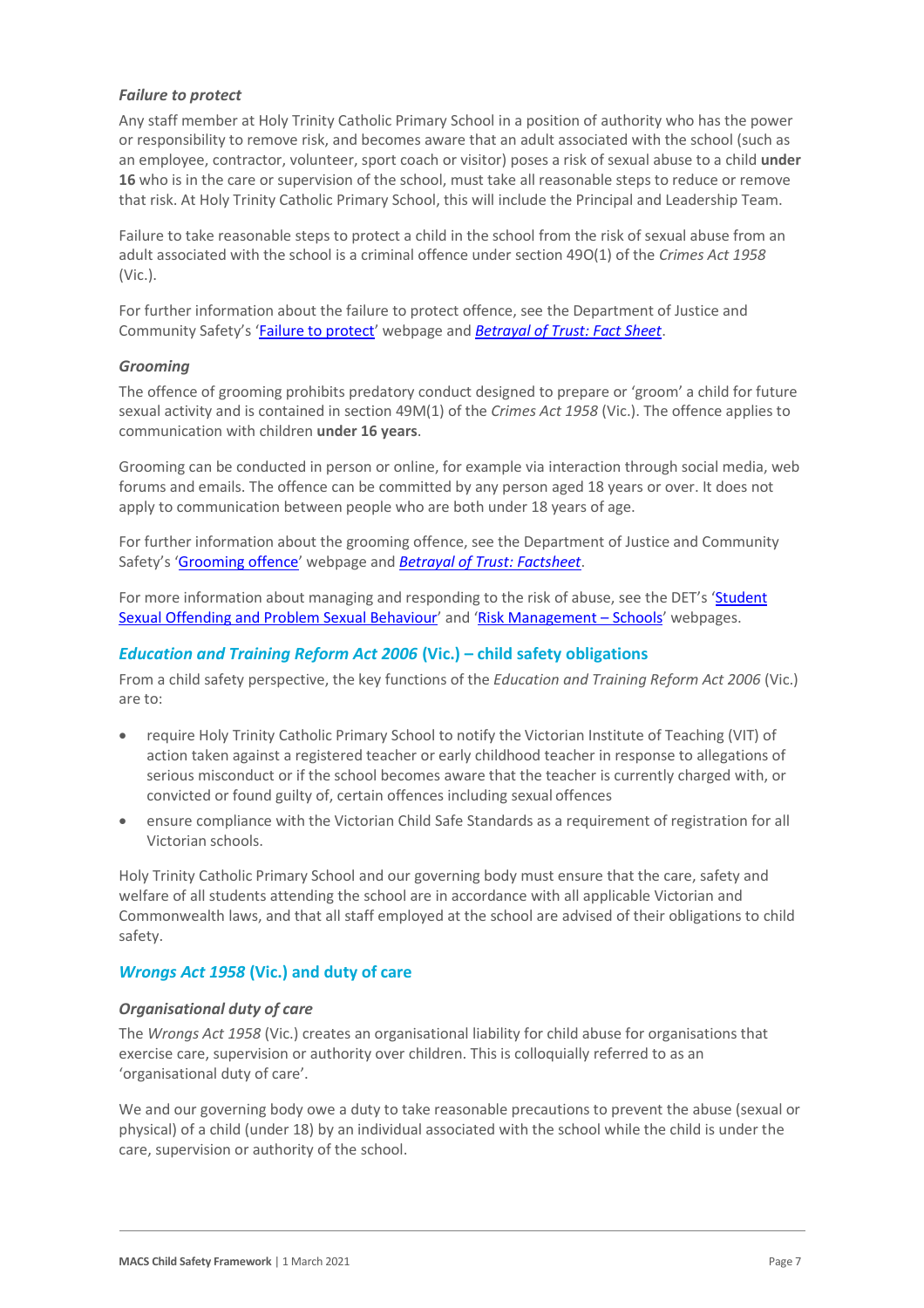#### *Failure to protect*

Any staff member at Holy Trinity Catholic Primary School in a position of authority who has the power or responsibility to remove risk, and becomes aware that an adult associated with the school (such as an employee, contractor, volunteer, sport coach or visitor) poses a risk of sexual abuse to a child **under 16** who is in the care or supervision of the school, must take all reasonable steps to reduce or remove that risk. At Holy Trinity Catholic Primary School, this will include the Principal and Leadership Team.

Failure to take reasonable steps to protect a child in the school from the risk of sexual abuse from an adult associated with the school is a criminal offence under section 49O(1) of the *Crimes Act 1958* (Vic.).

For further information about the failure to protect offence, see the Department of Justice and Community Safety's '[Failure to protect](https://www.justice.vic.gov.au/safer-communities/protecting-children-and-families/failure-to-protect-a-new-criminal-offence-to)' webpage and *[Betrayal of Trust: Fact Sheet](https://www.justice.vic.gov.au/sites/default/files/embridge_cache/emshare/original/public/2020/06/e0/4460c5147/failure_to_protect_betrayal_of_trust_factsheet_2017.pdf)*.

#### *Grooming*

The offence of grooming prohibits predatory conduct designed to prepare or 'groom' a child for future sexual activity and is contained in section 49M(1) of the *Crimes Act 1958* (Vic.). The offence applies to communication with children **under 16 years**.

Grooming can be conducted in person or online, for example via interaction through social media, web forums and emails. The offence can be committed by any person aged 18 years or over. It does not apply to communication between people who are both under 18 years of age.

For further information about the grooming offence, see the Department of Justice and Community Safety's '[Grooming offence](https://www.justice.vic.gov.au/safer-communities/protecting-children-and-families/grooming-offence)' webpage and *[Betrayal of Trust: Factsheet](https://www.justice.vic.gov.au/sites/default/files/embridge_cache/emshare/original/public/2020/06/e6/ea73d4b66/grooming_betrayal_of_trust_factsheet_2017.pdf)*.

For more information about managing and responding to the risk of abuse, see the DET's 'Student [Sexual Offending and Problem Sexual Behaviour](https://www2.education.vic.gov.au/pal/student-sexual-behaviours/policy)' and '[Risk Management](https://www2.education.vic.gov.au/pal/risk-management-schools/policy) - Schools' webpages.

#### *Education and Training Reform Act 2006* **(Vic.) – child safety obligations**

From a child safety perspective, the key functions of the *Education and Training Reform Act 2006* (Vic.) are to:

- require Holy Trinity Catholic Primary School to notify the Victorian Institute of Teaching (VIT) of action taken against a registered teacher or early childhood teacher in response to allegations of serious misconduct or if the school becomes aware that the teacher is currently charged with, or convicted or found guilty of, certain offences including sexual offences
- ensure compliance with the Victorian Child Safe Standards as a requirement of registration for all Victorian schools.

Holy Trinity Catholic Primary School and our governing body must ensure that the care, safety and welfare of all students attending the school are in accordance with all applicable Victorian and Commonwealth laws, and that all staff employed at the school are advised of their obligations to child safety.

#### *Wrongs Act 1958* **(Vic.) and duty of care**

#### *Organisational duty of care*

The *Wrongs Act 1958* (Vic.) creates an organisational liability for child abuse for organisations that exercise care, supervision or authority over children. This is colloquially referred to as an 'organisational duty of care'.

We and our governing body owe a duty to take reasonable precautions to prevent the abuse (sexual or physical) of a child (under 18) by an individual associated with the school while the child is under the care, supervision or authority of the school.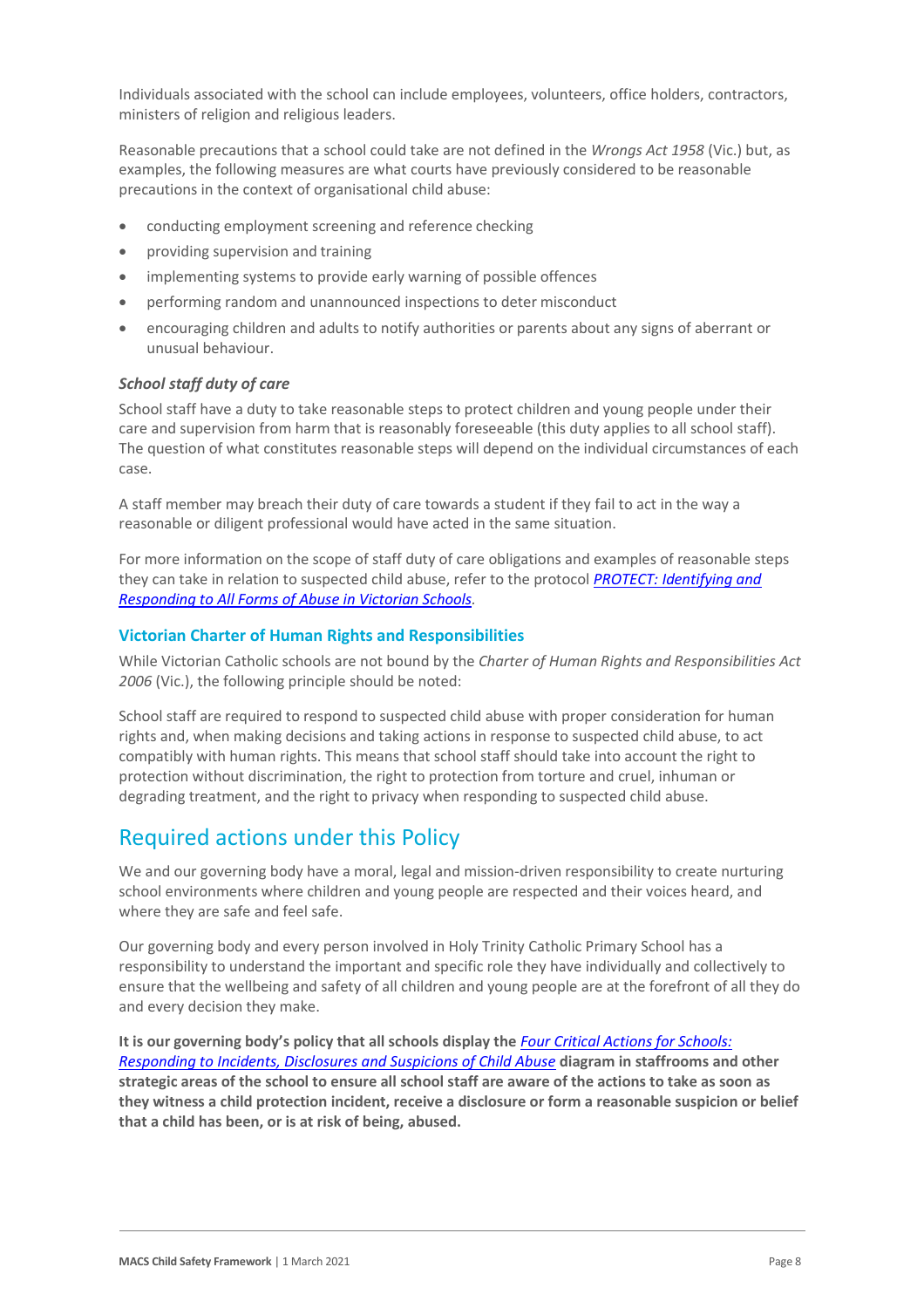Individuals associated with the school can include employees, volunteers, office holders, contractors, ministers of religion and religious leaders.

Reasonable precautions that a school could take are not defined in the *Wrongs Act 1958* (Vic.) but, as examples, the following measures are what courts have previously considered to be reasonable precautions in the context of organisational child abuse:

- conducting employment screening and reference checking
- providing supervision and training
- implementing systems to provide early warning of possible offences
- performing random and unannounced inspections to deter misconduct
- encouraging children and adults to notify authorities or parents about any signs of aberrant or unusual behaviour.

#### *School staff duty of care*

School staff have a duty to take reasonable steps to protect children and young people under their care and supervision from harm that is reasonably foreseeable (this duty applies to all school staff). The question of what constitutes reasonable steps will depend on the individual circumstances of each case.

A staff member may breach their duty of care towards a student if they fail to act in the way a reasonable or diligent professional would have acted in the same situation.

For more information on the scope of staff duty of care obligations and examples of reasonable steps they can take in relation to suspected child abuse, refer to the protocol *[PROTECT: Identifying and](http://www.education.vic.gov.au/Documents/about/programs/health/protect/ChildSafeStandard5_SchoolsGuide.pdf)  [Responding to All Forms of Abuse in Victorian Schools.](http://www.education.vic.gov.au/Documents/about/programs/health/protect/ChildSafeStandard5_SchoolsGuide.pdf)*

#### **Victorian Charter of Human Rights and Responsibilities**

While Victorian Catholic schools are not bound by the *Charter of Human Rights and Responsibilities Act 2006* (Vic.), the following principle should be noted:

School staff are required to respond to suspected child abuse with proper consideration for human rights and, when making decisions and taking actions in response to suspected child abuse, to act compatibly with human rights. This means that school staff should take into account the right to protection without discrimination, the right to protection from torture and cruel, inhuman or degrading treatment, and the right to privacy when responding to suspected child abuse.

# Required actions under this Policy

We and our governing body have a moral, legal and mission-driven responsibility to create nurturing school environments where children and young people are respected and their voices heard, and where they are safe and feel safe.

Our governing body and every person involved in Holy Trinity Catholic Primary School has a responsibility to understand the important and specific role they have individually and collectively to ensure that the wellbeing and safety of all children and young people are at the forefront of all they do and every decision they make.

**It is our governing body's policy that all schools display the** *[Four Critical Actions for Schools:](http://www.education.vic.gov.au/Documents/about/programs/health/protect/FourCriticalActions_ChildAbuse.pdf)  [Responding to Incidents, Disclosures and Suspicions of Child Abuse](http://www.education.vic.gov.au/Documents/about/programs/health/protect/FourCriticalActions_ChildAbuse.pdf)* **diagram in staffrooms and other strategic areas of the school to ensure all school staff are aware of the actions to take as soon as they witness a child protection incident, receive a disclosure or form a reasonable suspicion or belief that a child has been, or is at risk of being, abused.**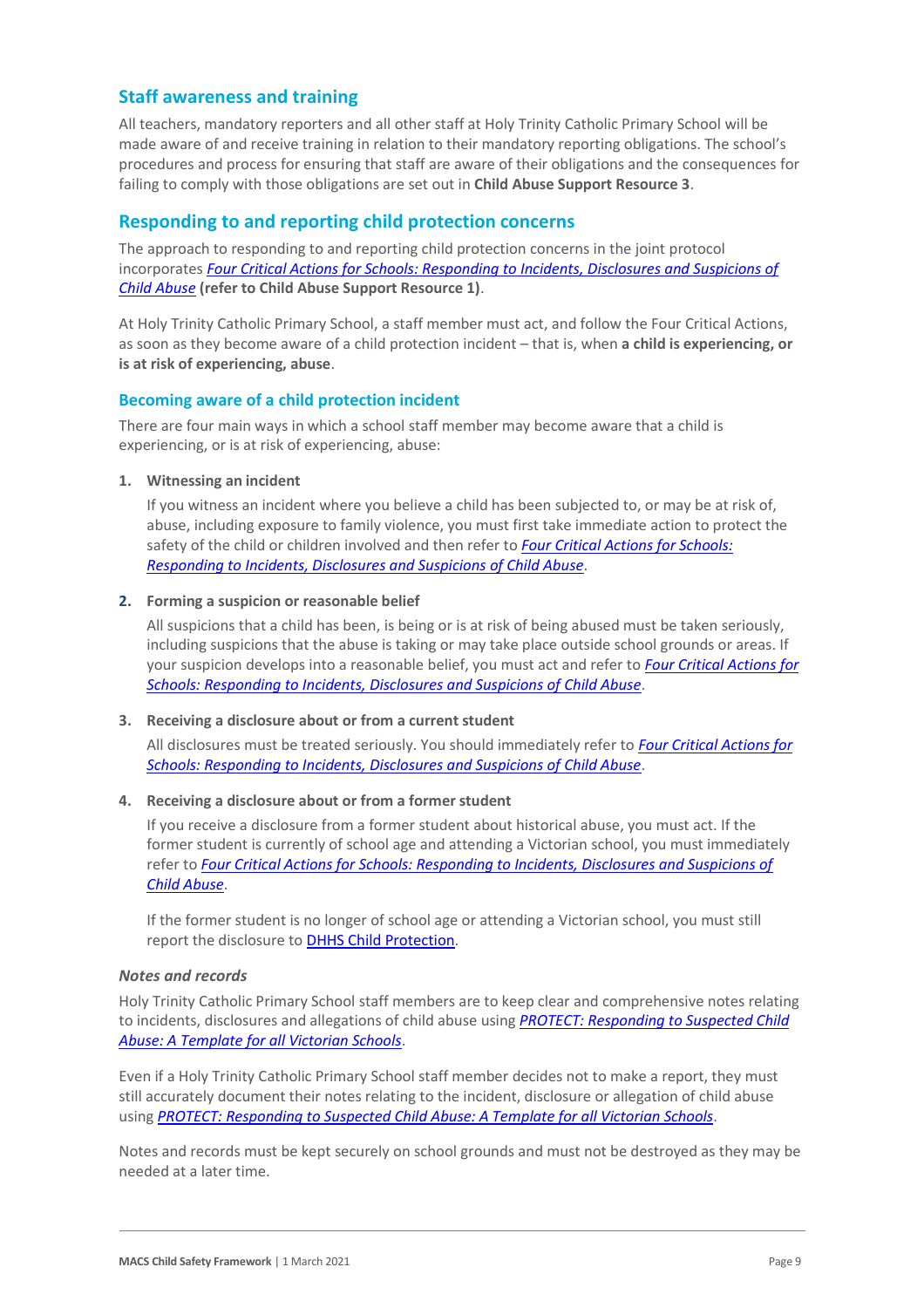# **Staff awareness and training**

All teachers, mandatory reporters and all other staff at Holy Trinity Catholic Primary School will be made aware of and receive training in relation to their mandatory reporting obligations. The school's procedures and process for ensuring that staff are aware of their obligations and the consequences for failing to comply with those obligations are set out in **Child Abuse Support Resource 3**.

# **Responding to and reporting child protection concerns**

The approach to responding to and reporting child protection concerns in the joint protocol incorporates *[Four Critical Actions for Schools: Responding to Incidents, Disclosures and Suspicions of](http://www.education.vic.gov.au/Documents/about/programs/health/protect/FourCriticalActions_ChildAbuse.pdf)  [Child Abuse](http://www.education.vic.gov.au/Documents/about/programs/health/protect/FourCriticalActions_ChildAbuse.pdf)* **[\(refer to Child Abuse Support Resource 1\)](http://www.education.vic.gov.au/Documents/about/programs/health/protect/FourCriticalActions_ChildAbuse.pdf)**[.](http://www.education.vic.gov.au/Documents/about/programs/health/protect/FourCriticalActions_ChildAbuse.pdf)

At Holy Trinity Catholic Primary School, a staff member must act, and follow the Four Critical Actions, as soon as they become aware of a child protection incident – that is, when **a child is experiencing, or is at risk of experiencing, abuse**.

#### **Becoming aware of a child protection incident**

There are four main ways in which a school staff member may become aware that a child is experiencing, or is at risk of experiencing, abuse:

#### **1. Witnessing an incident**

If you witness an incident where you believe a child has been subjected to, or may be at risk of, abuse, including exposure to family violence, you must first take immediate action to protect the safety of the child or children involved and then refer to *[Four Critical Actions for Schools:](http://www.education.vic.gov.au/Documents/about/programs/health/protect/FourCriticalActions_ChildAbuse.pdf)  [Responding to Incidents, Disclosures and Suspicions of Child Abuse](http://www.education.vic.gov.au/Documents/about/programs/health/protect/FourCriticalActions_ChildAbuse.pdf)*.

#### **2. Forming a suspicion or reasonable belief**

All suspicions that a child has been, is being or is at risk of being abused must be taken seriously, including suspicions that the abuse is taking or may take place outside school grounds or areas. If your suspicion develops into a reasonable belief, you must act and refer to *[Four Critical Actions for](http://www.education.vic.gov.au/Documents/about/programs/health/protect/FourCriticalActions_ChildAbuse.pdf)  [Schools: Responding to Incidents, Disclosures and Suspicions of Child](http://www.education.vic.gov.au/Documents/about/programs/health/protect/FourCriticalActions_ChildAbuse.pdf) Abuse*.

#### **3. Receiving a disclosure about or from a current student**

All disclosures must be treated seriously. You should immediately refer to *[Four Critical Actions for](http://www.education.vic.gov.au/Documents/about/programs/health/protect/FourCriticalActions_ChildAbuse.pdf)  [Schools: Responding to Incidents, Disclosures and Suspicions of Child Abuse](http://www.education.vic.gov.au/Documents/about/programs/health/protect/FourCriticalActions_ChildAbuse.pdf)*.

#### **4.** Receiving a disclosure about or from a former student

If you receive a disclosure from a former student about historical abuse, you must act. If the former student is currently of school age and attending a Victorian school, you must immediately refer to *[Four Critical Actions for Schools: Responding to Incidents, Disclosures and Suspicions of](http://www.education.vic.gov.au/Documents/about/programs/health/protect/FourCriticalActions_ChildAbuse.pdf)  [Child Abuse](http://www.education.vic.gov.au/Documents/about/programs/health/protect/FourCriticalActions_ChildAbuse.pdf)*[.](http://www.education.vic.gov.au/Documents/about/programs/health/protect/FourCriticalActions_ChildAbuse.pdf)

If the former student is no longer of school age or attending a Victorian school, you must still report the disclosure to **[DHHS Child Protection](https://www.education.vic.gov.au/about/contact/Pages/reportingabuse.aspx)**[.](http://www.education.vic.gov.au/about/contact/Pages/reportingabuse.aspx?Redirect=1)

#### *Notes and records*

Holy Trinity Catholic Primary School staff members are to keep clear and comprehensive notes relating to incidents, disclosures and allegations of child abuse using *[PROTECT: Responding to Suspected Child](http://www.education.vic.gov.au/Documents/about/programs/health/protect/PROTECT_Responding_TemplateSchools.pdf)  [Abuse: A Template for all Victorian Schools](http://www.education.vic.gov.au/Documents/about/programs/health/protect/PROTECT_Responding_TemplateSchools.pdf)*.

Even if a Holy Trinity Catholic Primary School staff member decides not to make a report, they must still accurately document their notes relating to the incident, disclosure or allegation of child abuse using *[PROTECT: Responding to Suspected Child Abuse: A Template for all Victorian Schools](http://www.education.vic.gov.au/Documents/about/programs/health/protect/PROTECT_Responding_TemplateSchools.pdf)*.

Notes and records must be kept securely on school grounds and must not be destroyed as they may be needed at a later time.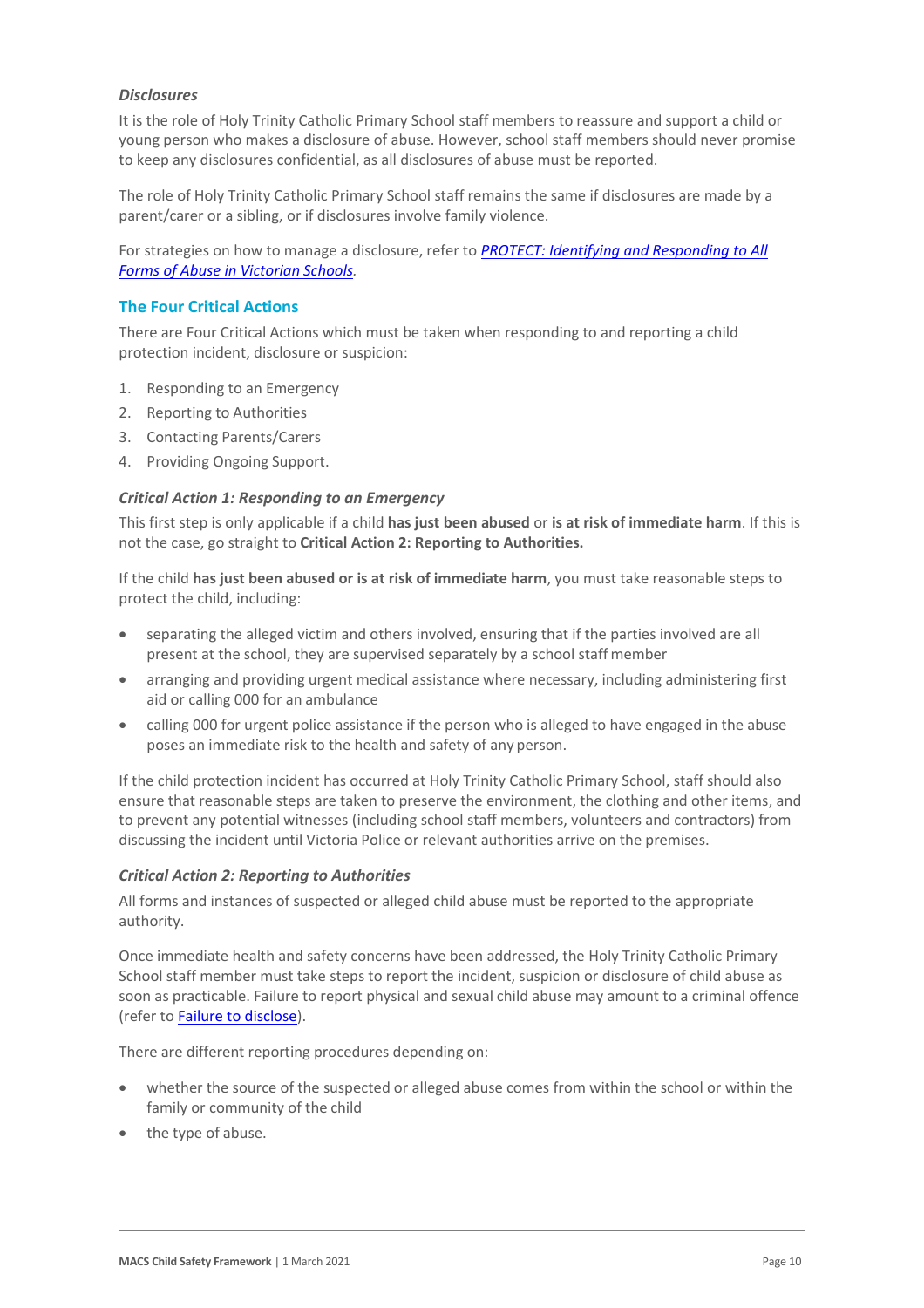#### *Disclosures*

It is the role of Holy Trinity Catholic Primary School staff members to reassure and support a child or young person who makes a disclosure of abuse. However, school staff members should never promise to keep any disclosures confidential, as all disclosures of abuse must be reported.

The role of Holy Trinity Catholic Primary School staff remains the same if disclosures are made by a parent/carer or a sibling, or if disclosures involve family violence.

For strategies on how to manage a disclosure, refer to *[PROTECT: Identifying and Responding to All](http://www.education.vic.gov.au/Documents/about/programs/health/protect/ChildSafeStandard5_SchoolsGuide.pdf)  [Forms of Abuse in Victorian Schools.](http://www.education.vic.gov.au/Documents/about/programs/health/protect/ChildSafeStandard5_SchoolsGuide.pdf)*

#### **The Four Critical Actions**

There are Four Critical Actions which must be taken when responding to and reporting a child protection incident, disclosure or suspicion:

- 1. Responding to an Emergency
- 2. Reporting to Authorities
- 3. Contacting Parents/Carers
- 4. Providing Ongoing Support.

#### *Critical Action 1: Responding to an Emergency*

This first step is only applicable if a child **has just been abused** or **is at risk of immediate harm**. If this is not the case, go straight to **Critical Action 2: Reporting to Authorities.**

If the child **has just been abused or is at risk of immediate harm**, you must take reasonable steps to protect the child, including:

- separating the alleged victim and others involved, ensuring that if the parties involved are all present at the school, they are supervised separately by a school staffmember
- arranging and providing urgent medical assistance where necessary, including administering first aid or calling 000 for an ambulance
- calling 000 for urgent police assistance if the person who is alleged to have engaged in the abuse poses an immediate risk to the health and safety of any person.

If the child protection incident has occurred at Holy Trinity Catholic Primary School, staff should also ensure that reasonable steps are taken to preserve the environment, the clothing and other items, and to prevent any potential witnesses (including school staff members, volunteers and contractors) from discussing the incident until Victoria Police or relevant authorities arrive on the premises.

#### *Critical Action 2: Reporting to Authorities*

All forms and instances of suspected or alleged child abuse must be reported to the appropriate authority.

Once immediate health and safety concerns have been addressed, the Holy Trinity Catholic Primary School staff member must take steps to report the incident, suspicion or disclosure of child abuse as soon as practicable. Failure to report physical and sexual child abuse may amount to a criminal offence (refer t[o Failure to disclose\)](#page-5-0).

There are different reporting procedures depending on:

- whether the source of the suspected or alleged abuse comes from within the school or within the family or community of the child
- the type of abuse.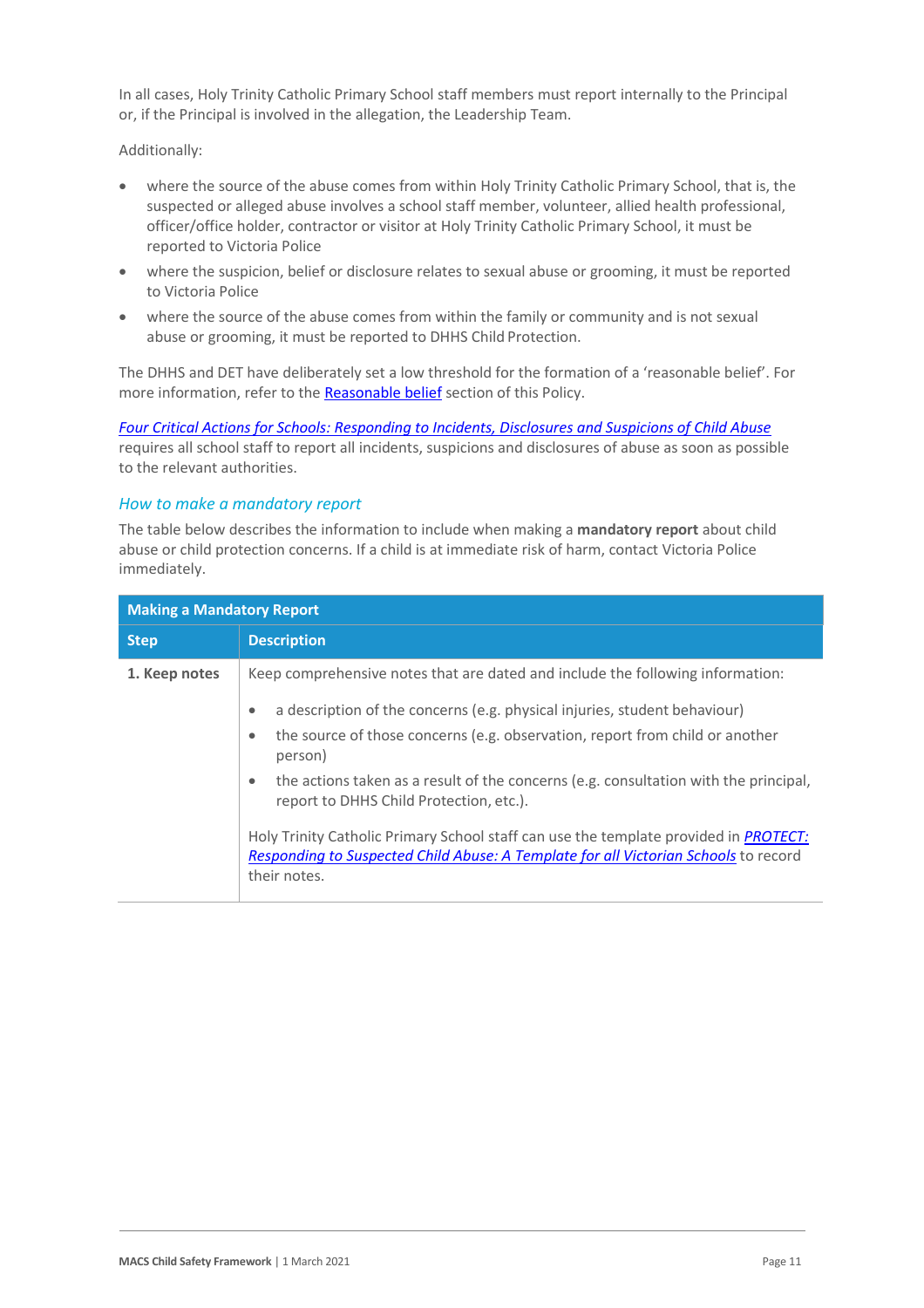In all cases, Holy Trinity Catholic Primary School staff members must report internally to the Principal or, if the Principal is involved in the allegation, the Leadership Team.

Additionally:

- where the source of the abuse comes from within Holy Trinity Catholic Primary School, that is, the suspected or alleged abuse involves a school staff member, volunteer, allied health professional, officer/office holder, contractor or visitor at Holy Trinity Catholic Primary School, it must be reported to Victoria Police
- where the suspicion, belief or disclosure relates to sexual abuse or grooming, it must be reported to Victoria Police
- where the source of the abuse comes from within the family or community and is not sexual abuse or grooming, it must be reported to DHHS Child Protection.

The DHHS and DET have deliberately set a low threshold for the formation of a 'reasonable belief'. For more information, refer to the [Reasonable belief](#page-3-0) section of this Policy.

*[Four Critical Actions for Schools: Responding to Incidents, Disclosures and Suspicions of Child Abuse](http://www.education.vic.gov.au/Documents/about/programs/health/protect/FourCriticalActions_ChildAbuse.pdf)* requires all school staff to report all incidents, suspicions and disclosures of abuse as soon as possible to the relevant authorities.

#### *How to make a mandatory report*

The table below describes the information to include when making a **mandatory report** about child abuse or child protection concerns. If a child is at immediate risk of harm, contact Victoria Police immediately.

| <b>Making a Mandatory Report</b> |                                                                                                                                                                                                     |  |
|----------------------------------|-----------------------------------------------------------------------------------------------------------------------------------------------------------------------------------------------------|--|
| <b>Step</b>                      | <b>Description</b>                                                                                                                                                                                  |  |
| 1. Keep notes                    | Keep comprehensive notes that are dated and include the following information:                                                                                                                      |  |
|                                  | a description of the concerns (e.g. physical injuries, student behaviour)<br>$\bullet$                                                                                                              |  |
|                                  | the source of those concerns (e.g. observation, report from child or another<br>٠<br>person)                                                                                                        |  |
|                                  | the actions taken as a result of the concerns (e.g. consultation with the principal,<br>$\bullet$<br>report to DHHS Child Protection, etc.).                                                        |  |
|                                  | Holy Trinity Catholic Primary School staff can use the template provided in <i>PROTECT</i> :<br>Responding to Suspected Child Abuse: A Template for all Victorian Schools to record<br>their notes. |  |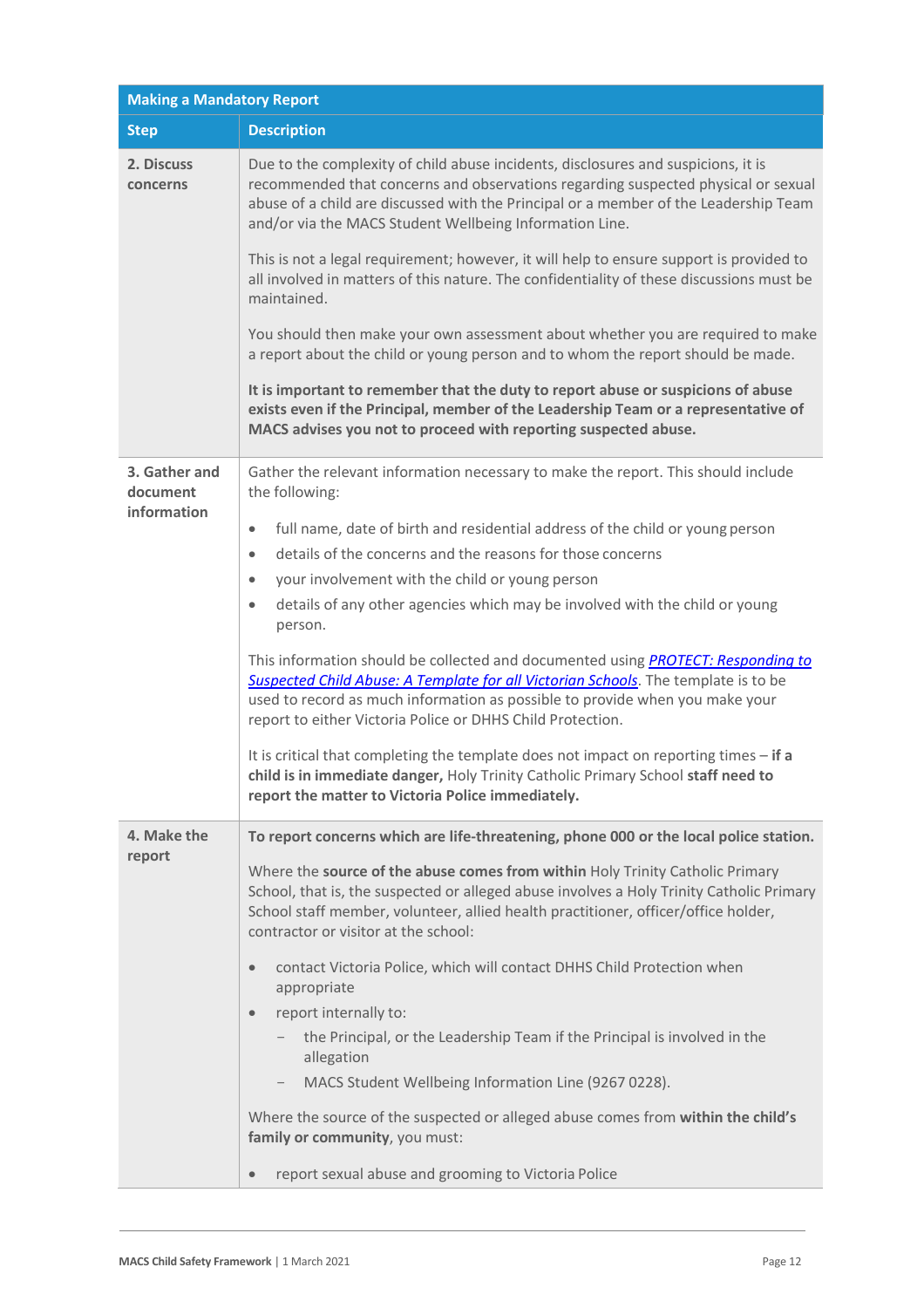| <b>Making a Mandatory Report</b>  |                                                                                                                                                                                                                                                                                                                             |  |  |
|-----------------------------------|-----------------------------------------------------------------------------------------------------------------------------------------------------------------------------------------------------------------------------------------------------------------------------------------------------------------------------|--|--|
| <b>Description</b><br><b>Step</b> |                                                                                                                                                                                                                                                                                                                             |  |  |
| 2. Discuss<br>concerns            | Due to the complexity of child abuse incidents, disclosures and suspicions, it is<br>recommended that concerns and observations regarding suspected physical or sexual<br>abuse of a child are discussed with the Principal or a member of the Leadership Team<br>and/or via the MACS Student Wellbeing Information Line.   |  |  |
|                                   | This is not a legal requirement; however, it will help to ensure support is provided to<br>all involved in matters of this nature. The confidentiality of these discussions must be<br>maintained.                                                                                                                          |  |  |
|                                   | You should then make your own assessment about whether you are required to make<br>a report about the child or young person and to whom the report should be made.                                                                                                                                                          |  |  |
|                                   | It is important to remember that the duty to report abuse or suspicions of abuse<br>exists even if the Principal, member of the Leadership Team or a representative of<br>MACS advises you not to proceed with reporting suspected abuse.                                                                                   |  |  |
| 3. Gather and<br>document         | Gather the relevant information necessary to make the report. This should include<br>the following:                                                                                                                                                                                                                         |  |  |
| information                       | full name, date of birth and residential address of the child or young person<br>$\bullet$                                                                                                                                                                                                                                  |  |  |
|                                   | details of the concerns and the reasons for those concerns<br>$\bullet$                                                                                                                                                                                                                                                     |  |  |
|                                   | your involvement with the child or young person<br>$\bullet$                                                                                                                                                                                                                                                                |  |  |
|                                   | details of any other agencies which may be involved with the child or young<br>$\bullet$<br>person.                                                                                                                                                                                                                         |  |  |
|                                   | This information should be collected and documented using <b>PROTECT: Responding to</b><br>Suspected Child Abuse: A Template for all Victorian Schools. The template is to be<br>used to record as much information as possible to provide when you make your<br>report to either Victoria Police or DHHS Child Protection. |  |  |
|                                   | It is critical that completing the template does not impact on reporting times - if a<br>child is in immediate danger, Holy Trinity Catholic Primary School staff need to<br>report the matter to Victoria Police immediately.                                                                                              |  |  |
| 4. Make the                       | To report concerns which are life-threatening, phone 000 or the local police station.                                                                                                                                                                                                                                       |  |  |
| report                            | Where the source of the abuse comes from within Holy Trinity Catholic Primary<br>School, that is, the suspected or alleged abuse involves a Holy Trinity Catholic Primary<br>School staff member, volunteer, allied health practitioner, officer/office holder,<br>contractor or visitor at the school:                     |  |  |
|                                   | contact Victoria Police, which will contact DHHS Child Protection when<br>$\bullet$<br>appropriate                                                                                                                                                                                                                          |  |  |
|                                   | report internally to:<br>$\bullet$                                                                                                                                                                                                                                                                                          |  |  |
|                                   | the Principal, or the Leadership Team if the Principal is involved in the<br>allegation                                                                                                                                                                                                                                     |  |  |
|                                   | MACS Student Wellbeing Information Line (9267 0228).                                                                                                                                                                                                                                                                        |  |  |
|                                   | Where the source of the suspected or alleged abuse comes from within the child's<br>family or community, you must:                                                                                                                                                                                                          |  |  |
|                                   | report sexual abuse and grooming to Victoria Police<br>$\bullet$                                                                                                                                                                                                                                                            |  |  |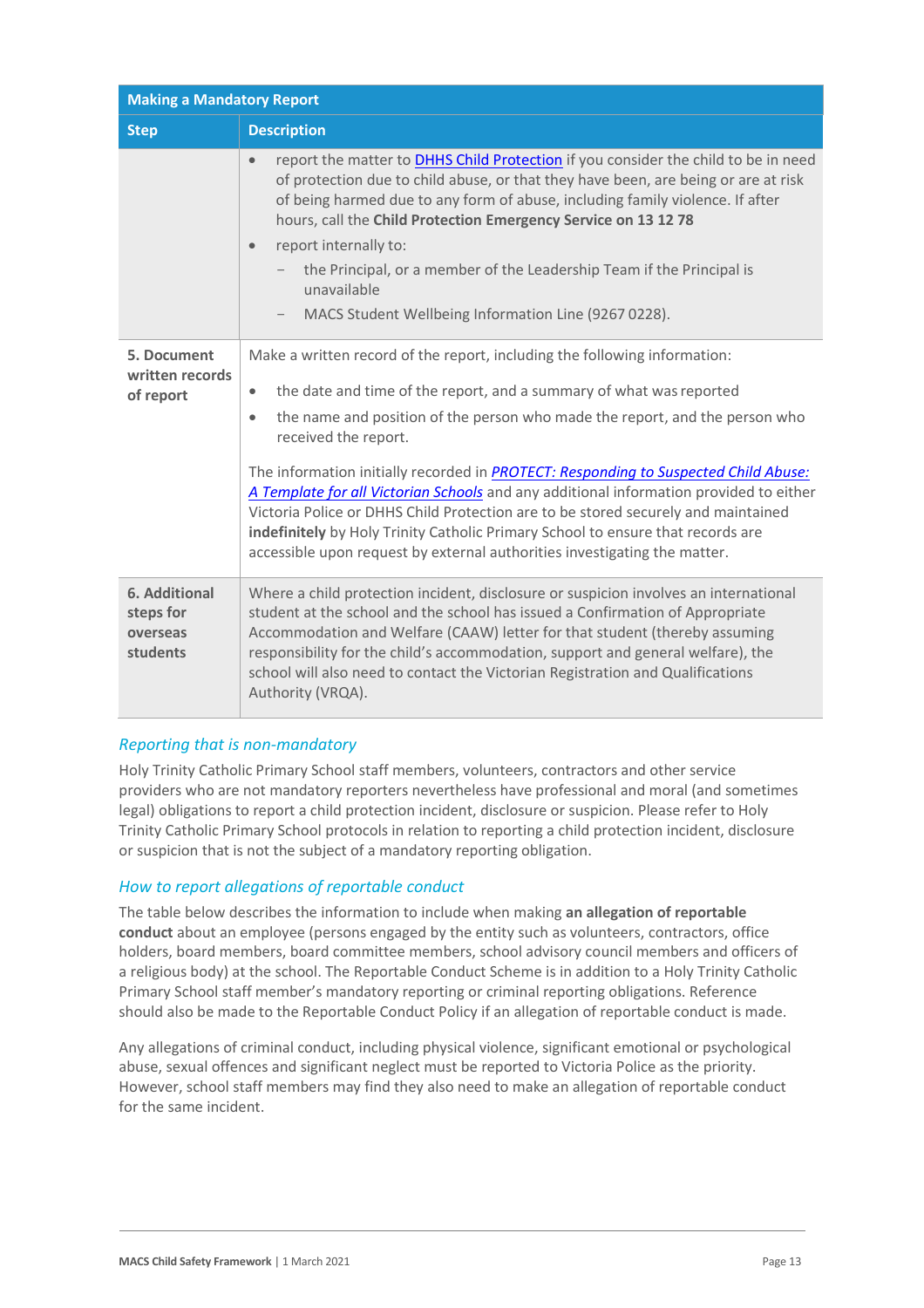| <b>Making a Mandatory Report</b>                   |                                                                                                                                                                                                                                                                                                                                                                                                                                                                                                                                                                                                                                                                                                                                |  |
|----------------------------------------------------|--------------------------------------------------------------------------------------------------------------------------------------------------------------------------------------------------------------------------------------------------------------------------------------------------------------------------------------------------------------------------------------------------------------------------------------------------------------------------------------------------------------------------------------------------------------------------------------------------------------------------------------------------------------------------------------------------------------------------------|--|
| <b>Step</b>                                        | <b>Description</b>                                                                                                                                                                                                                                                                                                                                                                                                                                                                                                                                                                                                                                                                                                             |  |
|                                                    | report the matter to DHHS Child Protection if you consider the child to be in need<br>$\bullet$<br>of protection due to child abuse, or that they have been, are being or are at risk<br>of being harmed due to any form of abuse, including family violence. If after<br>hours, call the Child Protection Emergency Service on 13 12 78<br>report internally to:<br>$\bullet$<br>the Principal, or a member of the Leadership Team if the Principal is<br>unavailable<br>MACS Student Wellbeing Information Line (9267 0228).                                                                                                                                                                                                 |  |
| 5. Document<br>written records<br>of report        | Make a written record of the report, including the following information:<br>the date and time of the report, and a summary of what was reported<br>$\bullet$<br>the name and position of the person who made the report, and the person who<br>$\bullet$<br>received the report.<br>The information initially recorded in <b>PROTECT: Responding to Suspected Child Abuse:</b><br>A Template for all Victorian Schools and any additional information provided to either<br>Victoria Police or DHHS Child Protection are to be stored securely and maintained<br>indefinitely by Holy Trinity Catholic Primary School to ensure that records are<br>accessible upon request by external authorities investigating the matter. |  |
| 6. Additional<br>steps for<br>overseas<br>students | Where a child protection incident, disclosure or suspicion involves an international<br>student at the school and the school has issued a Confirmation of Appropriate<br>Accommodation and Welfare (CAAW) letter for that student (thereby assuming<br>responsibility for the child's accommodation, support and general welfare), the<br>school will also need to contact the Victorian Registration and Qualifications<br>Authority (VRQA).                                                                                                                                                                                                                                                                                  |  |

### *Reporting that is non-mandatory*

Holy Trinity Catholic Primary School staff members, volunteers, contractors and other service providers who are not mandatory reporters nevertheless have professional and moral (and sometimes legal) obligations to report a child protection incident, disclosure or suspicion. Please refer to Holy Trinity Catholic Primary School protocols in relation to reporting a child protection incident, disclosure or suspicion that is not the subject of a mandatory reporting obligation.

### *How to report allegations of reportable conduct*

The table below describes the information to include when making **an allegation of reportable conduct** about an employee (persons engaged by the entity such as volunteers, contractors, office holders, board members, board committee members, school advisory council members and officers of a religious body) at the school. The Reportable Conduct Scheme is in addition to a Holy Trinity Catholic Primary School staff member's mandatory reporting or criminal reporting obligations. Reference should also be made to the Reportable Conduct Policy if an allegation of reportable conduct is made.

Any allegations of criminal conduct, including physical violence, significant emotional or psychological abuse, sexual offences and significant neglect must be reported to Victoria Police as the priority. However, school staff members may find they also need to make an allegation of reportable conduct for the same incident.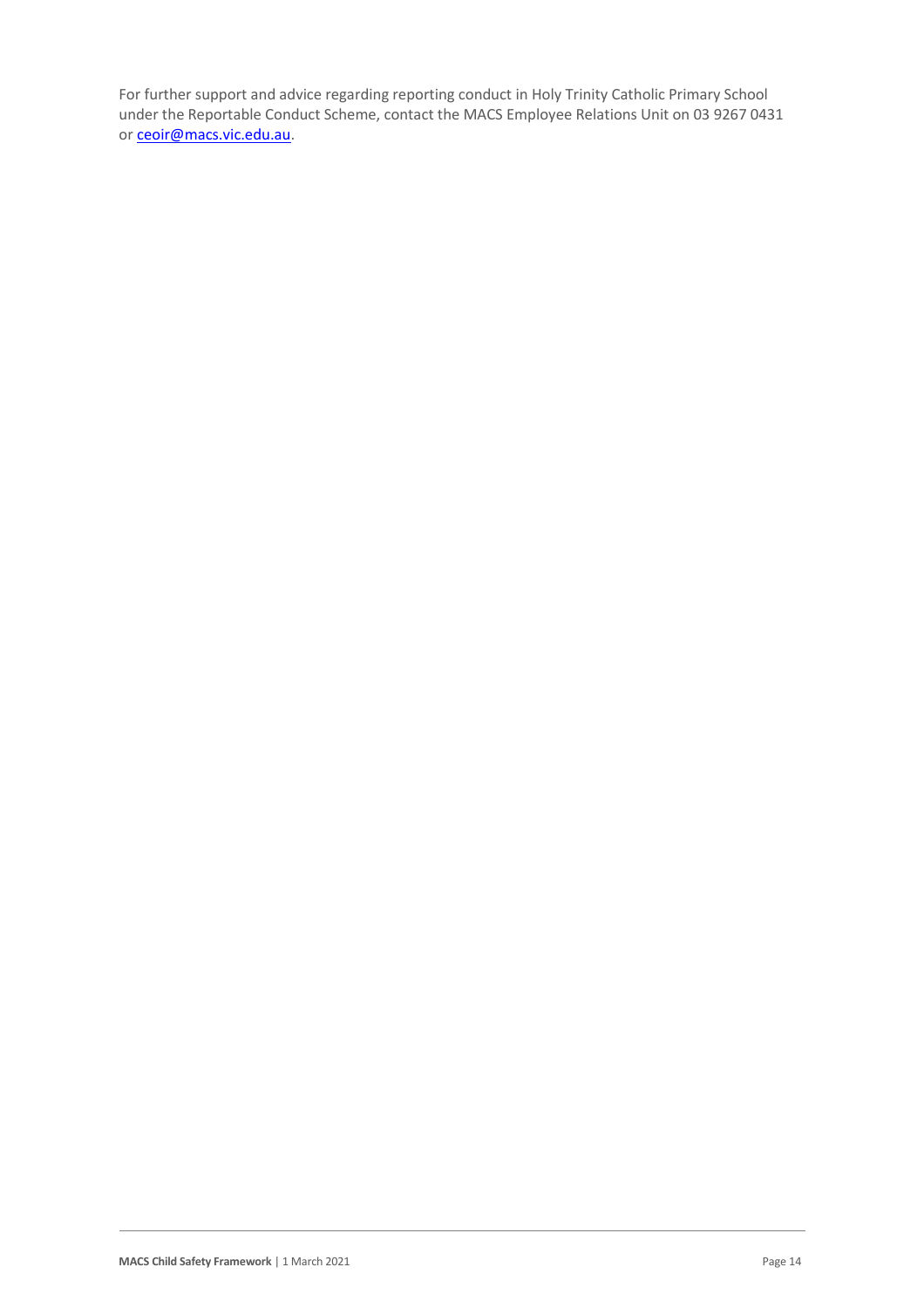For further support and advice regarding reporting conduct in Holy Trinity Catholic Primary School under the Reportable Conduct Scheme, contact the MACS Employee Relations Unit on 03 9267 0431 or [ceoir@macs.vic.edu.au.](mailto:ceoir@macs.vic.edu.au.)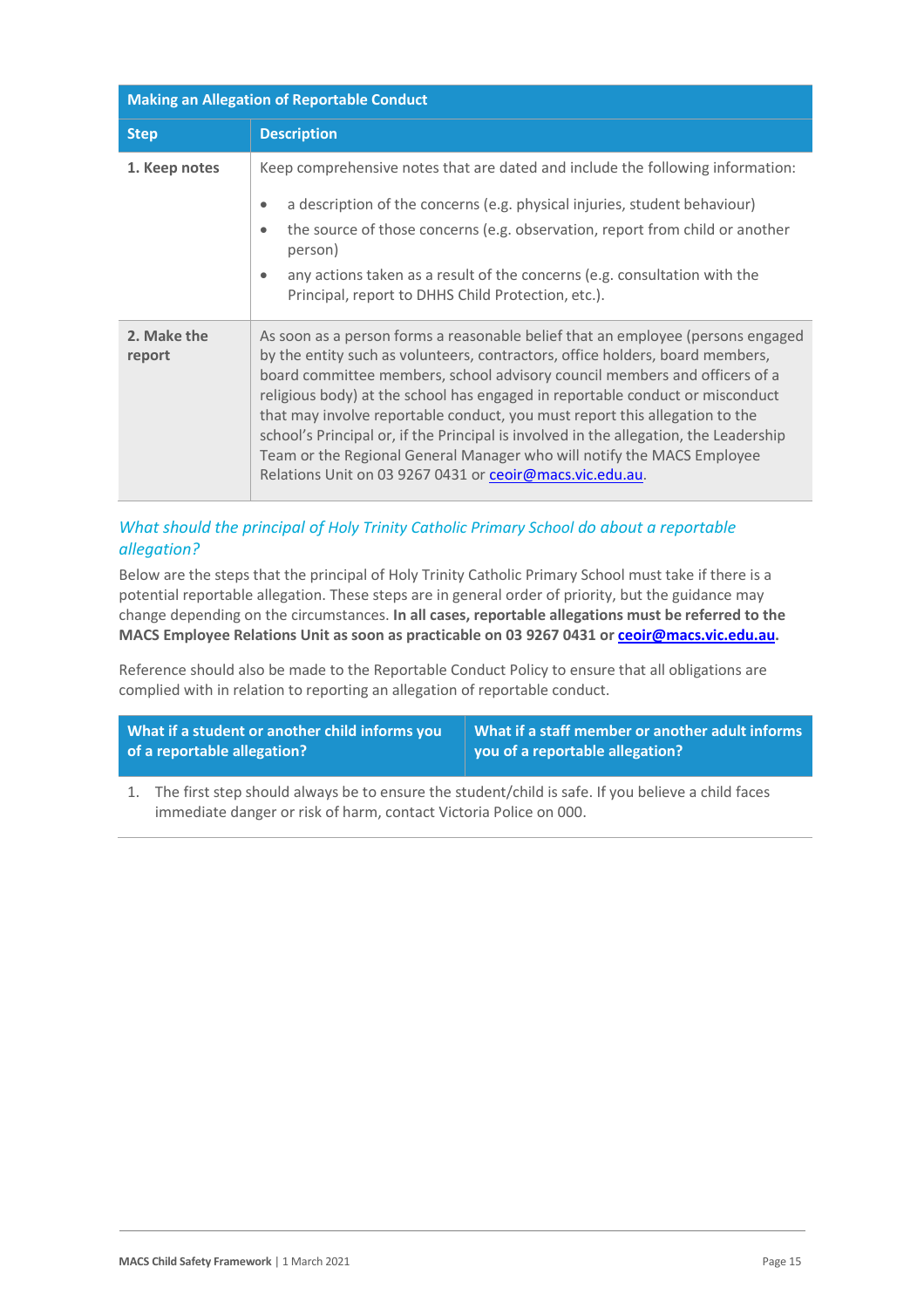| <b>Making an Allegation of Reportable Conduct</b> |                                                                                                                                                                                                                                                                                                                                                                                                                                                                                                                                                                                                                                               |  |
|---------------------------------------------------|-----------------------------------------------------------------------------------------------------------------------------------------------------------------------------------------------------------------------------------------------------------------------------------------------------------------------------------------------------------------------------------------------------------------------------------------------------------------------------------------------------------------------------------------------------------------------------------------------------------------------------------------------|--|
| <b>Step</b>                                       | <b>Description</b>                                                                                                                                                                                                                                                                                                                                                                                                                                                                                                                                                                                                                            |  |
| 1. Keep notes                                     | Keep comprehensive notes that are dated and include the following information:<br>a description of the concerns (e.g. physical injuries, student behaviour)<br>$\bullet$<br>the source of those concerns (e.g. observation, report from child or another<br>$\bullet$<br>person)<br>any actions taken as a result of the concerns (e.g. consultation with the<br>$\bullet$<br>Principal, report to DHHS Child Protection, etc.).                                                                                                                                                                                                              |  |
| 2. Make the<br>report                             | As soon as a person forms a reasonable belief that an employee (persons engaged<br>by the entity such as volunteers, contractors, office holders, board members,<br>board committee members, school advisory council members and officers of a<br>religious body) at the school has engaged in reportable conduct or misconduct<br>that may involve reportable conduct, you must report this allegation to the<br>school's Principal or, if the Principal is involved in the allegation, the Leadership<br>Team or the Regional General Manager who will notify the MACS Employee<br>Relations Unit on 03 9267 0431 or ceoir@macs.vic.edu.au. |  |

# *What should the principal of Holy Trinity Catholic Primary School do about a reportable allegation?*

Below are the steps that the principal of Holy Trinity Catholic Primary School must take if there is a potential reportable allegation. These steps are in general order of priority, but the guidance may change depending on the circumstances. **In all cases, reportable allegations must be referred to the MACS Employee Relations Unit as soon as practicable on 03 9267 0431 or [ceoir@macs.vic.edu.au.](mailto:ceoir@macs.vic.edu.au)**

Reference should also be made to the Reportable Conduct Policy to ensure that all obligations are complied with in relation to reporting an allegation of reportable conduct.

| What if a student or another child informs you | What if a staff member or another adult informs |
|------------------------------------------------|-------------------------------------------------|
| of a reportable allegation?                    | you of a reportable allegation?                 |

1. The first step should always be to ensure the student/child is safe. If you believe a child faces immediate danger or risk of harm, contact Victoria Police on 000.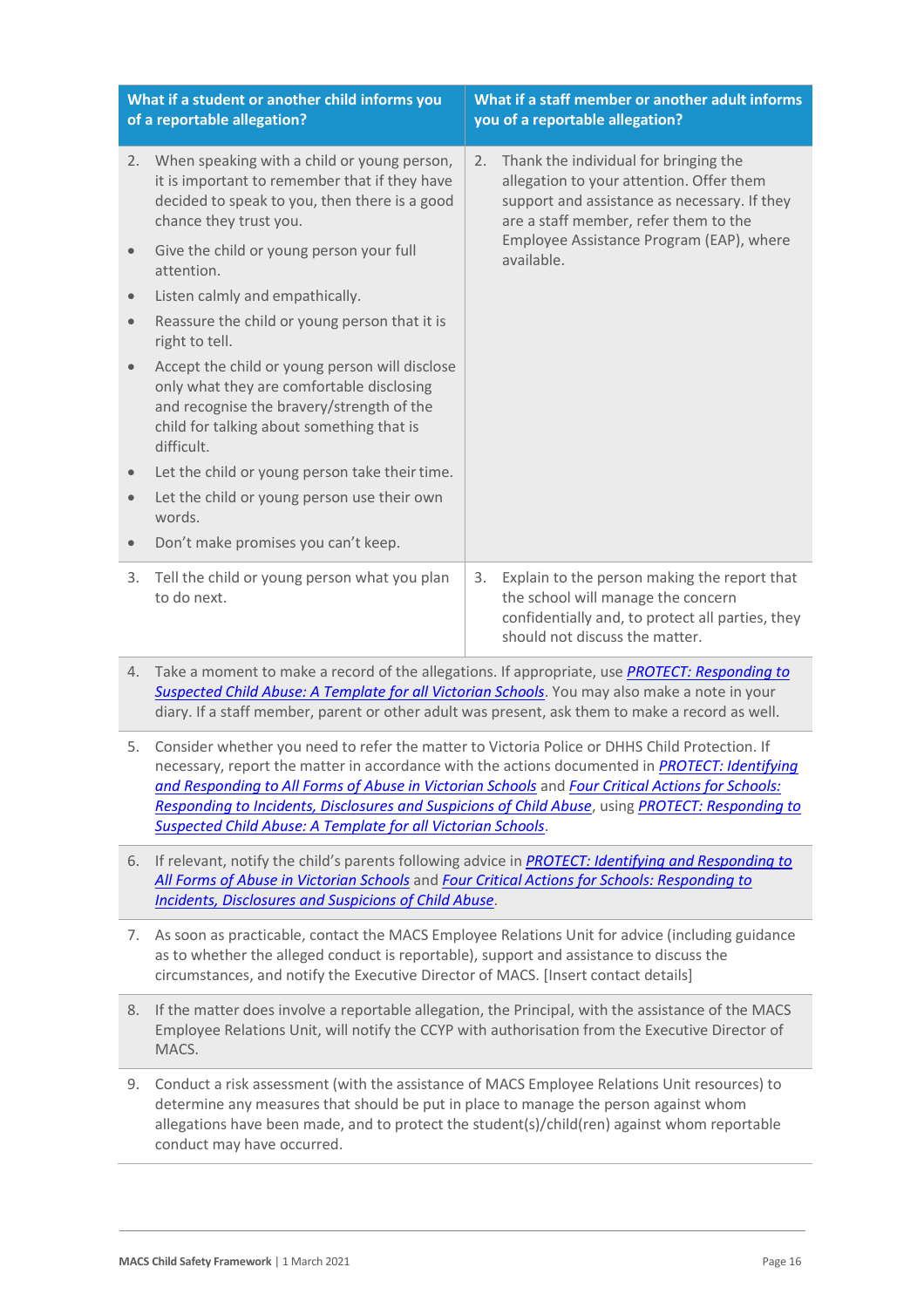| What if a student or another child informs you<br>of a reportable allegation? |                                                                                                                                                                                                                                                                                                                                                                                                                                                                                          | What if a staff member or another adult informs<br>you of a reportable allegation? |                                                                                                                                                                            |
|-------------------------------------------------------------------------------|------------------------------------------------------------------------------------------------------------------------------------------------------------------------------------------------------------------------------------------------------------------------------------------------------------------------------------------------------------------------------------------------------------------------------------------------------------------------------------------|------------------------------------------------------------------------------------|----------------------------------------------------------------------------------------------------------------------------------------------------------------------------|
| 2.                                                                            | When speaking with a child or young person,<br>it is important to remember that if they have<br>decided to speak to you, then there is a good<br>chance they trust you.                                                                                                                                                                                                                                                                                                                  | 2.                                                                                 | Thank the individual for bringing the<br>allegation to your attention. Offer them<br>support and assistance as necessary. If they<br>are a staff member, refer them to the |
|                                                                               | Give the child or young person your full<br>attention.                                                                                                                                                                                                                                                                                                                                                                                                                                   |                                                                                    | Employee Assistance Program (EAP), where<br>available.                                                                                                                     |
| $\bullet$                                                                     | Listen calmly and empathically.                                                                                                                                                                                                                                                                                                                                                                                                                                                          |                                                                                    |                                                                                                                                                                            |
| $\bullet$                                                                     | Reassure the child or young person that it is<br>right to tell.                                                                                                                                                                                                                                                                                                                                                                                                                          |                                                                                    |                                                                                                                                                                            |
|                                                                               | Accept the child or young person will disclose<br>only what they are comfortable disclosing<br>and recognise the bravery/strength of the<br>child for talking about something that is<br>difficult.                                                                                                                                                                                                                                                                                      |                                                                                    |                                                                                                                                                                            |
| $\bullet$                                                                     | Let the child or young person take their time.                                                                                                                                                                                                                                                                                                                                                                                                                                           |                                                                                    |                                                                                                                                                                            |
| $\bullet$                                                                     | Let the child or young person use their own<br>words.                                                                                                                                                                                                                                                                                                                                                                                                                                    |                                                                                    |                                                                                                                                                                            |
| $\bullet$                                                                     | Don't make promises you can't keep.                                                                                                                                                                                                                                                                                                                                                                                                                                                      |                                                                                    |                                                                                                                                                                            |
| 3.                                                                            | Tell the child or young person what you plan<br>to do next.                                                                                                                                                                                                                                                                                                                                                                                                                              | 3.                                                                                 | Explain to the person making the report that<br>the school will manage the concern<br>confidentially and, to protect all parties, they<br>should not discuss the matter.   |
| 4.                                                                            | Take a moment to make a record of the allegations. If appropriate, use PROTECT: Responding to<br>Suspected Child Abuse: A Template for all Victorian Schools. You may also make a note in your<br>diary. If a staff member, parent or other adult was present, ask them to make a record as well.                                                                                                                                                                                        |                                                                                    |                                                                                                                                                                            |
|                                                                               | 5. Consider whether you need to refer the matter to Victoria Police or DHHS Child Protection. If<br>necessary, report the matter in accordance with the actions documented in <i>PROTECT: Identifying</i><br>and Responding to All Forms of Abuse in Victorian Schools and Four Critical Actions for Schools:<br>Responding to Incidents, Disclosures and Suspicions of Child Abuse, using PROTECT: Responding to<br><b>Suspected Child Abuse: A Template for all Victorian Schools.</b> |                                                                                    |                                                                                                                                                                            |
| 6.                                                                            | If relevant, notify the child's parents following advice in <b>PROTECT: Identifying and Responding to</b><br>All Forms of Abuse in Victorian Schools and Four Critical Actions for Schools: Responding to<br><b>Incidents, Disclosures and Suspicions of Child Abuse.</b>                                                                                                                                                                                                                |                                                                                    |                                                                                                                                                                            |
| 7.                                                                            | As soon as practicable, contact the MACS Employee Relations Unit for advice (including guidance<br>as to whether the alleged conduct is reportable), support and assistance to discuss the<br>circumstances, and notify the Executive Director of MACS. [Insert contact details]                                                                                                                                                                                                         |                                                                                    |                                                                                                                                                                            |
| 8.                                                                            | If the matter does involve a reportable allegation, the Principal, with the assistance of the MACS<br>Employee Relations Unit, will notify the CCYP with authorisation from the Executive Director of<br>MACS.                                                                                                                                                                                                                                                                           |                                                                                    |                                                                                                                                                                            |
|                                                                               |                                                                                                                                                                                                                                                                                                                                                                                                                                                                                          |                                                                                    |                                                                                                                                                                            |

9. Conduct a risk assessment (with the assistance of MACS Employee Relations Unit resources) to determine any measures that should be put in place to manage the person against whom allegations have been made, and to protect the student(s)/child(ren) against whom reportable conduct may have occurred.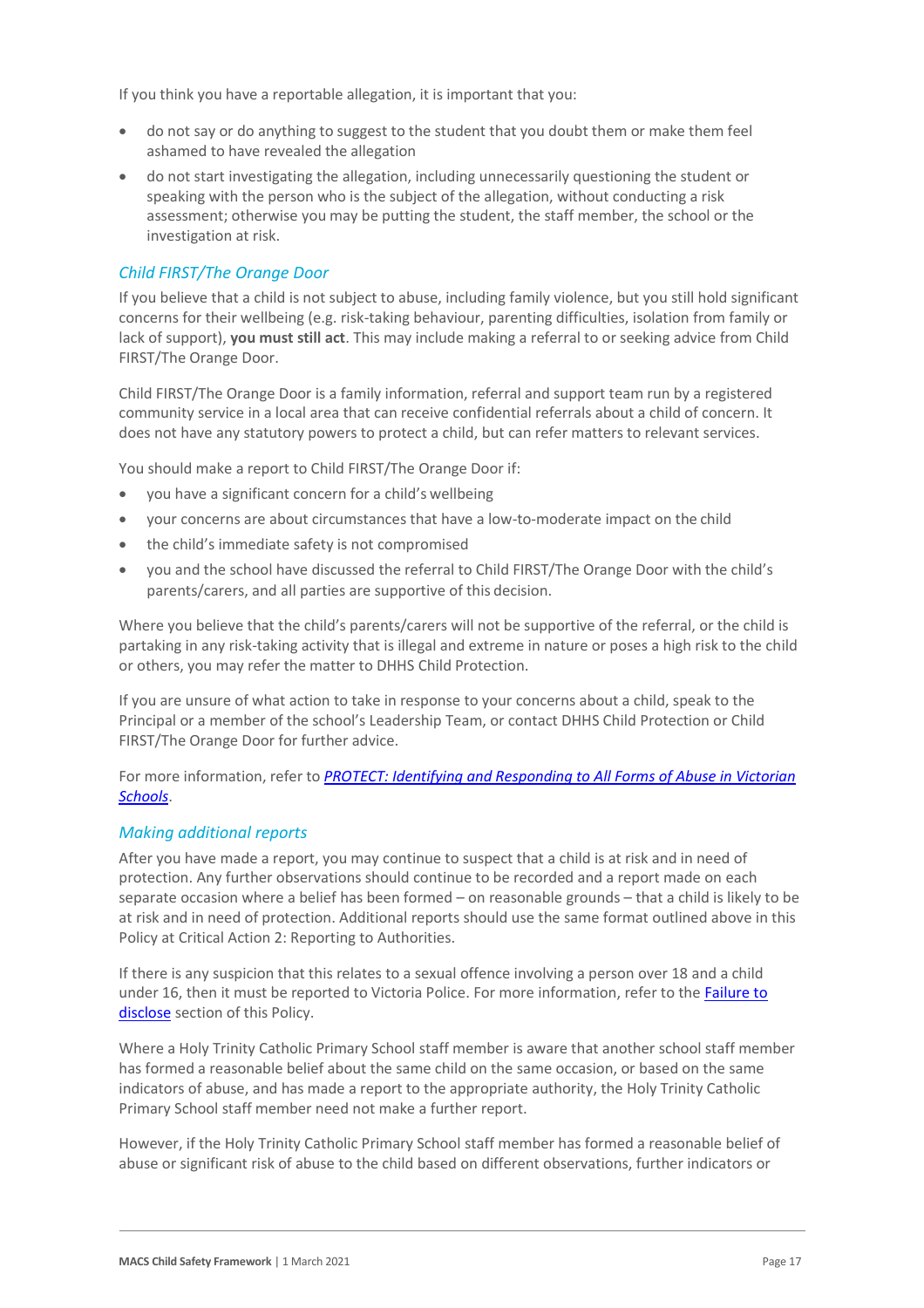If you think you have a reportable allegation, it is important that you:

- do not say or do anything to suggest to the student that you doubt them or make them feel ashamed to have revealed the allegation
- do not start investigating the allegation, including unnecessarily questioning the student or speaking with the person who is the subject of the allegation, without conducting a risk assessment; otherwise you may be putting the student, the staff member, the school or the investigation at risk.

#### *Child FIRST/The Orange Door*

If you believe that a child is not subject to abuse, including family violence, but you still hold significant concerns for their wellbeing (e.g. risk-taking behaviour, parenting difficulties, isolation from family or lack of support), **you must still act**. This may include making a referral to or seeking advice from Child FIRST/The Orange Door.

Child FIRST/The Orange Door is a family information, referral and support team run by a registered community service in a local area that can receive confidential referrals about a child of concern. It does not have any statutory powers to protect a child, but can refer matters to relevant services.

You should make a report to Child FIRST/The Orange Door if:

- you have a significant concern for a child's wellbeing
- your concerns are about circumstances that have a low-to-moderate impact on the child
- the child's immediate safety is not compromised
- you and the school have discussed the referral to Child FIRST/The Orange Door with the child's parents/carers, and all parties are supportive of this decision.

Where you believe that the child's parents/carers will not be supportive of the referral, or the child is partaking in any risk-taking activity that is illegal and extreme in nature or poses a high risk to the child or others, you may refer the matter to DHHS Child Protection.

If you are unsure of what action to take in response to your concerns about a child, speak to the Principal or a member of the school's Leadership Team, or contact DHHS Child Protection or Child FIRST/The Orange Door for further advice.

For more information, refer to *[PROTECT: Identifying and Responding to All Forms of Abuse in Victorian](http://www.education.vic.gov.au/Documents/about/programs/health/protect/ChildSafeStandard5_SchoolsGuide.pdf)  [Schools](http://www.education.vic.gov.au/Documents/about/programs/health/protect/ChildSafeStandard5_SchoolsGuide.pdf)*.

#### *Making additional reports*

After you have made a report, you may continue to suspect that a child is at risk and in need of protection. Any further observations should continue to be recorded and a report made on each separate occasion where a belief has been formed – on reasonable grounds – that a child is likely to be at risk and in need of protection. Additional reports should use the same format outlined above in this Policy at Critical Action 2: Reporting to Authorities.

If there is any suspicion that this relates to a sexual offence involving a person over 18 and a child under 16, then it must be reported to Victoria Police. For more information, refer to the Failure to [disclose](#page-5-0) section of this Policy.

Where a Holy Trinity Catholic Primary School staff member is aware that another school staff member has formed a reasonable belief about the same child on the same occasion, or based on the same indicators of abuse, and has made a report to the appropriate authority, the Holy Trinity Catholic Primary School staff member need not make a further report.

However, if the Holy Trinity Catholic Primary School staff member has formed a reasonable belief of abuse or significant risk of abuse to the child based on different observations, further indicators or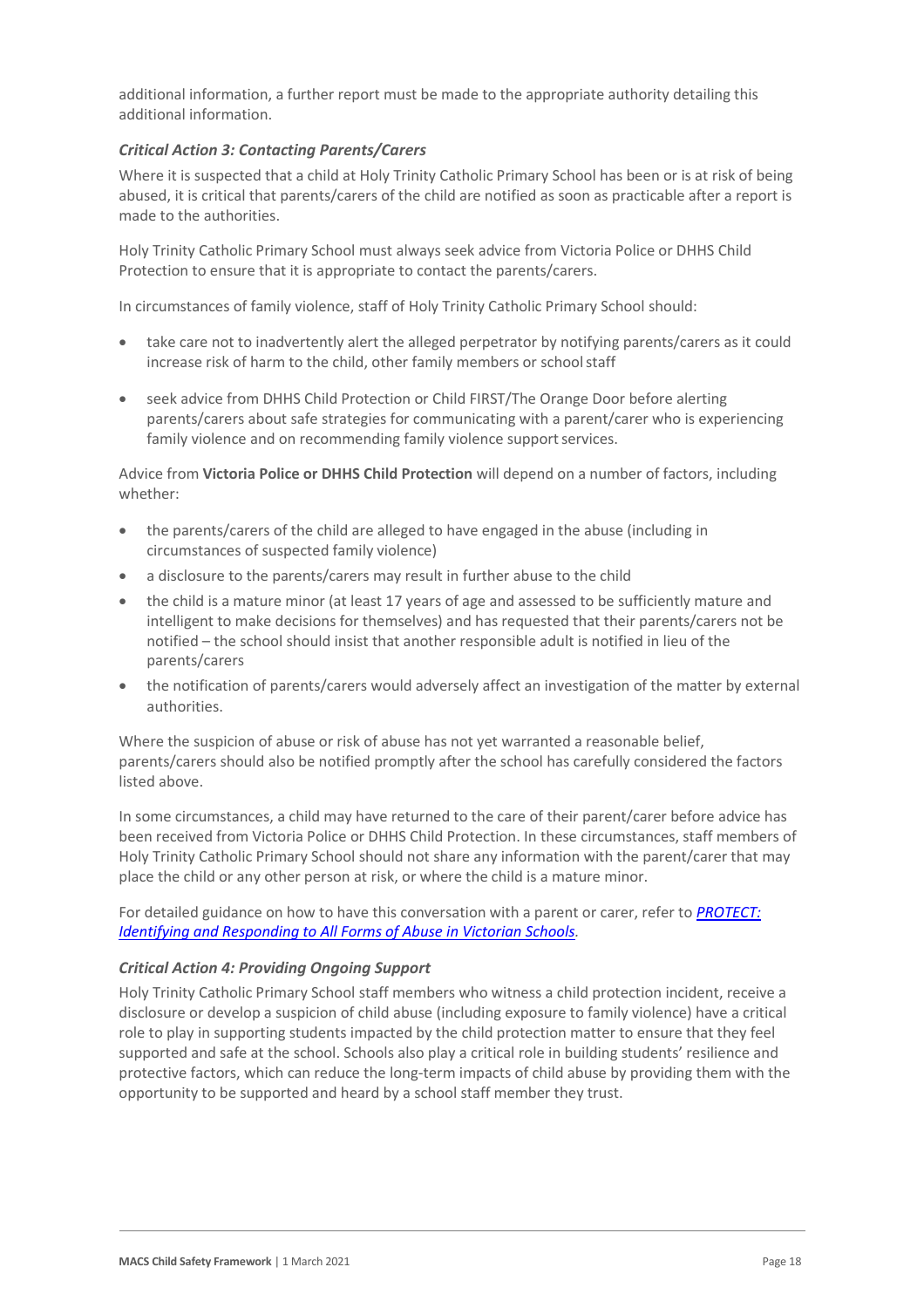additional information, a further report must be made to the appropriate authority detailing this additional information.

#### *Critical Action 3: Contacting Parents/Carers*

Where it is suspected that a child at Holy Trinity Catholic Primary School has been or is at risk of being abused, it is critical that parents/carers of the child are notified as soon as practicable after a report is made to the authorities.

Holy Trinity Catholic Primary School must always seek advice from Victoria Police or DHHS Child Protection to ensure that it is appropriate to contact the parents/carers.

In circumstances of family violence, staff of Holy Trinity Catholic Primary School should:

- take care not to inadvertently alert the alleged perpetrator by notifying parents/carers as it could increase risk of harm to the child, other family members or schoolstaff
- seek advice from DHHS Child Protection or Child FIRST/The Orange Door before alerting parents/carers about safe strategies for communicating with a parent/carer who is experiencing family violence and on recommending family violence support services.

Advice from **Victoria Police or DHHS Child Protection** will depend on a number of factors, including whether:

- the parents/carers of the child are alleged to have engaged in the abuse (including in circumstances of suspected family violence)
- a disclosure to the parents/carers may result in further abuse to the child
- the child is a mature minor (at least 17 years of age and assessed to be sufficiently mature and intelligent to make decisions for themselves) and has requested that their parents/carers not be notified – the school should insist that another responsible adult is notified in lieu of the parents/carers
- the notification of parents/carers would adversely affect an investigation of the matter by external authorities.

Where the suspicion of abuse or risk of abuse has not yet warranted a reasonable belief, parents/carers should also be notified promptly after the school has carefully considered the factors listed above.

In some circumstances, a child may have returned to the care of their parent/carer before advice has been received from Victoria Police or DHHS Child Protection. In these circumstances, staff members of Holy Trinity Catholic Primary School should not share any information with the parent/carer that may place the child or any other person at risk, or where the child is a mature minor.

For detailed guidance on how to have this conversation with a parent or carer, refer to *[PROTECT:](http://www.education.vic.gov.au/Documents/about/programs/health/protect/ChildSafeStandard5_SchoolsGuide.pdf)  [Identifying and Responding to All Forms of Abuse in Victorian Schools.](http://www.education.vic.gov.au/Documents/about/programs/health/protect/ChildSafeStandard5_SchoolsGuide.pdf)*

#### *Critical Action 4: Providing Ongoing Support*

Holy Trinity Catholic Primary School staff members who witness a child protection incident, receive a disclosure or develop a suspicion of child abuse (including exposure to family violence) have a critical role to play in supporting students impacted by the child protection matter to ensure that they feel supported and safe at the school. Schools also play a critical role in building students' resilience and protective factors, which can reduce the long-term impacts of child abuse by providing them with the opportunity to be supported and heard by a school staff member they trust.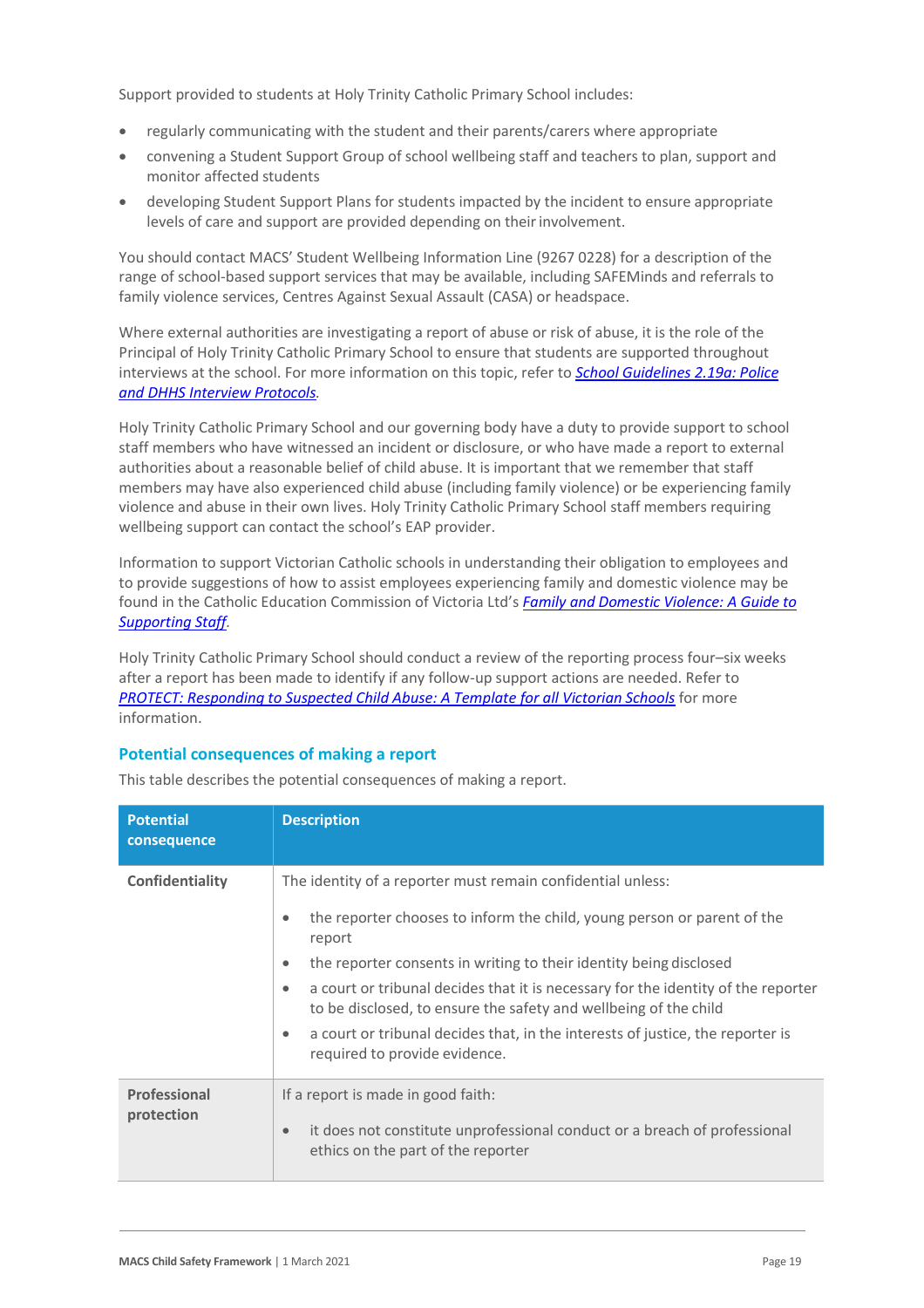Support provided to students at Holy Trinity Catholic Primary School includes:

- regularly communicating with the student and their parents/carers where appropriate
- convening a Student Support Group of school wellbeing staff and teachers to plan, support and monitor affected students
- developing Student Support Plans for students impacted by the incident to ensure appropriate levels of care and support are provided depending on theirinvolvement.

You should contact MACS' Student Wellbeing Information Line (9267 0228) for a description of the range of school-based support services that may be available, including SAFEMinds and referrals to family violence services, Centres Against Sexual Assault (CASA) or headspace.

Where external authorities are investigating a report of abuse or risk of abuse, it is the role of the Principal of Holy Trinity Catholic Primary School to ensure that students are supported throughout interviews at the school. For more information on this topic, refer to *[School Guidelines 2.19a: Police](https://www.cem.edu.au/About-Us/Policies/Police-and-DHHS-Interview-Protocols.aspx)  [and DHHS Interview Protocols.](https://www.cem.edu.au/About-Us/Policies/Police-and-DHHS-Interview-Protocols.aspx)*

Holy Trinity Catholic Primary School and our governing body have a duty to provide support to school staff members who have witnessed an incident or disclosure, or who have made a report to external authorities about a reasonable belief of child abuse. It is important that we remember that staff members may have also experienced child abuse (including family violence) or be experiencing family violence and abuse in their own lives. Holy Trinity Catholic Primary School staff members requiring wellbeing support can contact the school's EAP provider.

Information to support Victorian Catholic schools in understanding their obligation to employees and to provide suggestions of how to assist employees experiencing family and domestic violence may be found in the Catholic Education Commission of Victoria Ltd's *[Family and Domestic Violence: A Guide to](https://www.cecv.catholic.edu.au/Media-Files/IR/Policies-Guidelines/Family-Domestic-Violence/Guide-to-family-and-domestic-violence-(1).aspx)  [Supporting Staff](https://www.cecv.catholic.edu.au/Media-Files/IR/Policies-Guidelines/Family-Domestic-Violence/Guide-to-family-and-domestic-violence-(1).aspx)[.](http://www.cecv.catholic.edu.au/Media-Files/IR/Policies-Guidelines/Guide-to-family-and-domestic-violence.aspx)*

Holy Trinity Catholic Primary School should conduct a review of the reporting process four–six weeks after a report has been made to identify if any follow-up support actions are needed. Refer to *[PROTECT: Responding to Suspected Child Abuse: A Template for all Victorian Schools](http://www.education.vic.gov.au/Documents/about/programs/health/protect/PROTECT_Responding_TemplateSchools.pdf)* for more information.

#### **Potential consequences of making a report**

| <b>Potential</b><br>consequence | <b>Description</b>                                                                                                                                                                                                                                                                                                                                                                                                                                                                                                                                     |
|---------------------------------|--------------------------------------------------------------------------------------------------------------------------------------------------------------------------------------------------------------------------------------------------------------------------------------------------------------------------------------------------------------------------------------------------------------------------------------------------------------------------------------------------------------------------------------------------------|
| Confidentiality                 | The identity of a reporter must remain confidential unless:<br>the reporter chooses to inform the child, young person or parent of the<br>$\bullet$<br>report<br>the reporter consents in writing to their identity being disclosed<br>$\bullet$<br>a court or tribunal decides that it is necessary for the identity of the reporter<br>$\bullet$<br>to be disclosed, to ensure the safety and wellbeing of the child<br>a court or tribunal decides that, in the interests of justice, the reporter is<br>$\bullet$<br>required to provide evidence. |
| Professional<br>protection      | If a report is made in good faith:<br>it does not constitute unprofessional conduct or a breach of professional<br>$\bullet$<br>ethics on the part of the reporter                                                                                                                                                                                                                                                                                                                                                                                     |

This table describes the potential consequences of making a report.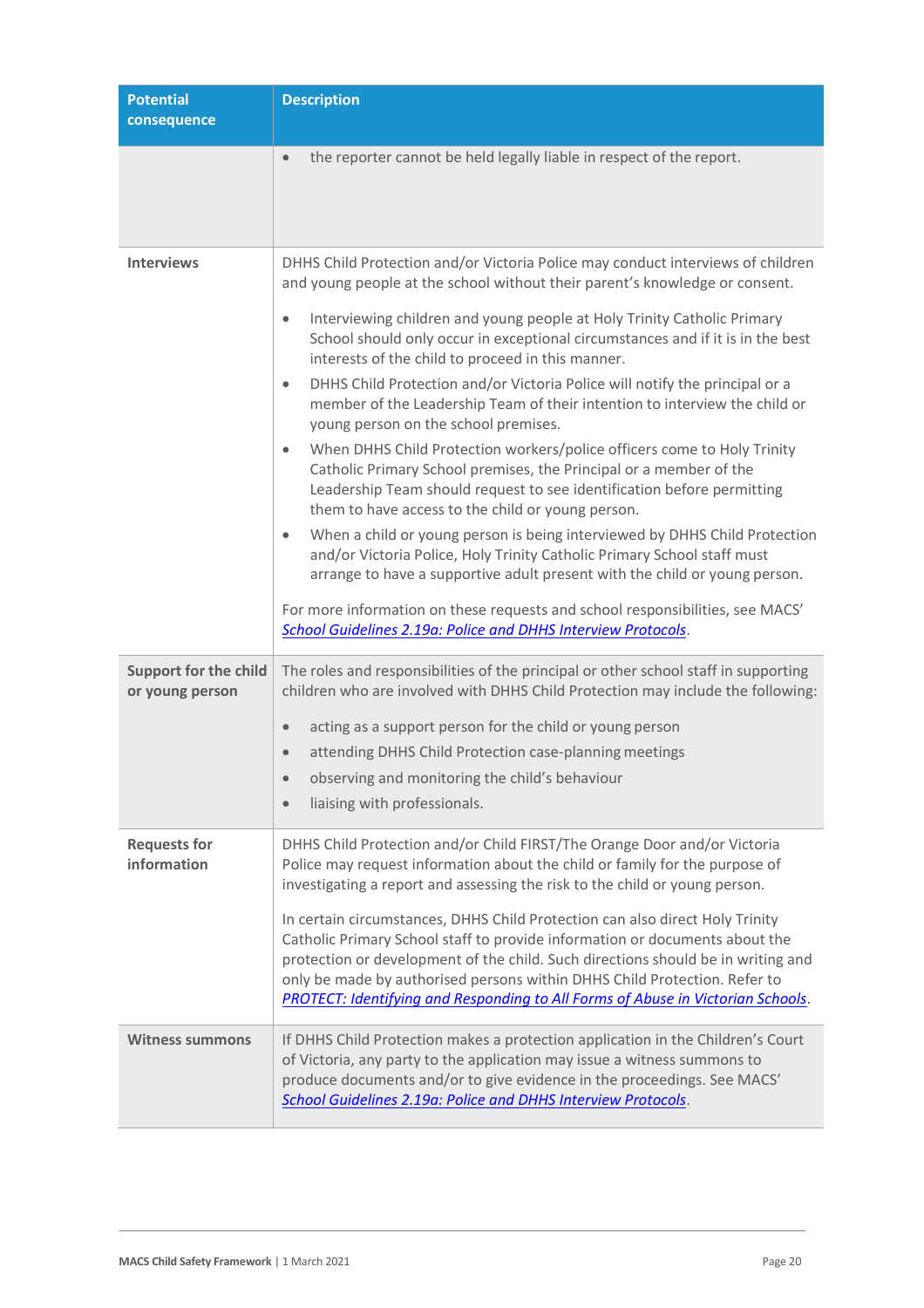| <b>Potential</b><br>consequence                 | <b>Description</b>                                                                                                                                                                                                                                                                                                                                                                                                     |
|-------------------------------------------------|------------------------------------------------------------------------------------------------------------------------------------------------------------------------------------------------------------------------------------------------------------------------------------------------------------------------------------------------------------------------------------------------------------------------|
|                                                 | the reporter cannot be held legally liable in respect of the report.<br>$\bullet$                                                                                                                                                                                                                                                                                                                                      |
| <b>Interviews</b>                               | DHHS Child Protection and/or Victoria Police may conduct interviews of children<br>and young people at the school without their parent's knowledge or consent.                                                                                                                                                                                                                                                         |
|                                                 | Interviewing children and young people at Holy Trinity Catholic Primary<br>$\bullet$<br>School should only occur in exceptional circumstances and if it is in the best<br>interests of the child to proceed in this manner.                                                                                                                                                                                            |
|                                                 | DHHS Child Protection and/or Victoria Police will notify the principal or a<br>$\bullet$<br>member of the Leadership Team of their intention to interview the child or<br>young person on the school premises.                                                                                                                                                                                                         |
|                                                 | When DHHS Child Protection workers/police officers come to Holy Trinity<br>$\bullet$<br>Catholic Primary School premises, the Principal or a member of the<br>Leadership Team should request to see identification before permitting<br>them to have access to the child or young person.                                                                                                                              |
|                                                 | When a child or young person is being interviewed by DHHS Child Protection<br>$\bullet$<br>and/or Victoria Police, Holy Trinity Catholic Primary School staff must<br>arrange to have a supportive adult present with the child or young person.                                                                                                                                                                       |
|                                                 | For more information on these requests and school responsibilities, see MACS'<br>School Guidelines 2.19a: Police and DHHS Interview Protocols.                                                                                                                                                                                                                                                                         |
| <b>Support for the child</b><br>or young person | The roles and responsibilities of the principal or other school staff in supporting<br>children who are involved with DHHS Child Protection may include the following:                                                                                                                                                                                                                                                 |
|                                                 | acting as a support person for the child or young person<br>$\qquad \qquad \bullet$                                                                                                                                                                                                                                                                                                                                    |
|                                                 | attending DHHS Child Protection case-planning meetings<br>$\bullet$                                                                                                                                                                                                                                                                                                                                                    |
|                                                 | observing and monitoring the child's behaviour<br>$\bullet$                                                                                                                                                                                                                                                                                                                                                            |
|                                                 | liaising with professionals.<br>$\bullet$                                                                                                                                                                                                                                                                                                                                                                              |
| <b>Requests for</b><br>information              | DHHS Child Protection and/or Child FIRST/The Orange Door and/or Victoria<br>Police may request information about the child or family for the purpose of<br>investigating a report and assessing the risk to the child or young person.                                                                                                                                                                                 |
|                                                 | In certain circumstances, DHHS Child Protection can also direct Holy Trinity<br>Catholic Primary School staff to provide information or documents about the<br>protection or development of the child. Such directions should be in writing and<br>only be made by authorised persons within DHHS Child Protection. Refer to<br><b>PROTECT: Identifying and Responding to All Forms of Abuse in Victorian Schools.</b> |
| <b>Witness summons</b>                          | If DHHS Child Protection makes a protection application in the Children's Court<br>of Victoria, any party to the application may issue a witness summons to<br>produce documents and/or to give evidence in the proceedings. See MACS'<br>School Guidelines 2.19a: Police and DHHS Interview Protocols.                                                                                                                |